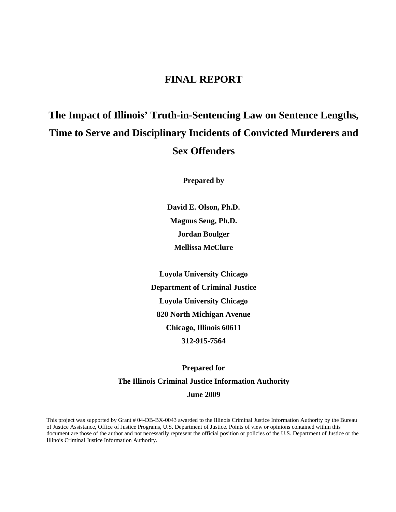## **FINAL REPORT**

# **The Impact of Illinois' Truth-in-Sentencing Law on Sentence Lengths, Time to Serve and Disciplinary Incidents of Convicted Murderers and Sex Offenders**

**Prepared by** 

**David E. Olson, Ph.D. Magnus Seng, Ph.D. Jordan Boulger Mellissa McClure** 

**Loyola University Chicago Department of Criminal Justice Loyola University Chicago 820 North Michigan Avenue Chicago, Illinois 60611 312-915-7564** 

# **Prepared for The Illinois Criminal Justice Information Authority June 2009**

This project was supported by Grant # 04-DB-BX-0043 awarded to the Illinois Criminal Justice Information Authority by the Bureau of Justice Assistance, Office of Justice Programs, U.S. Department of Justice. Points of view or opinions contained within this document are those of the author and not necessarily represent the official position or policies of the U.S. Department of Justice or the Illinois Criminal Justice Information Authority.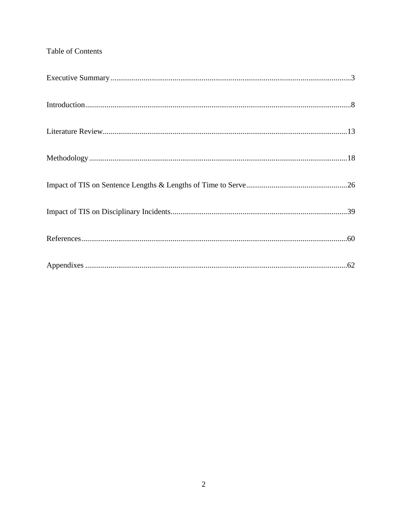### Table of Contents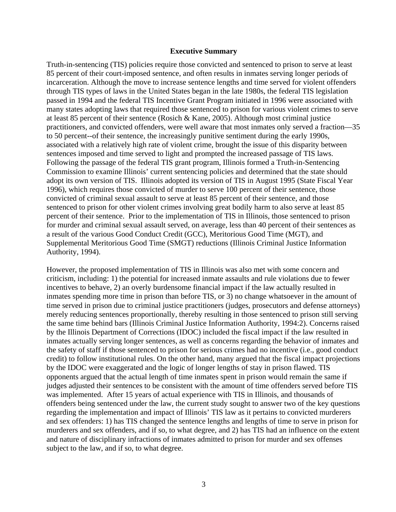#### **Executive Summary**

Truth-in-sentencing (TIS) policies require those convicted and sentenced to prison to serve at least 85 percent of their court-imposed sentence, and often results in inmates serving longer periods of incarceration. Although the move to increase sentence lengths and time served for violent offenders through TIS types of laws in the United States began in the late 1980s, the federal TIS legislation passed in 1994 and the federal TIS Incentive Grant Program initiated in 1996 were associated with many states adopting laws that required those sentenced to prison for various violent crimes to serve at least 85 percent of their sentence (Rosich & Kane, 2005). Although most criminal justice practitioners, and convicted offenders, were well aware that most inmates only served a fraction—35 to 50 percent--of their sentence, the increasingly punitive sentiment during the early 1990s, associated with a relatively high rate of violent crime, brought the issue of this disparity between sentences imposed and time served to light and prompted the increased passage of TIS laws. Following the passage of the federal TIS grant program, Illinois formed a Truth-in-Sentencing Commission to examine Illinois' current sentencing policies and determined that the state should adopt its own version of TIS. Illinois adopted its version of TIS in August 1995 (State Fiscal Year 1996), which requires those convicted of murder to serve 100 percent of their sentence, those convicted of criminal sexual assault to serve at least 85 percent of their sentence, and those sentenced to prison for other violent crimes involving great bodily harm to also serve at least 85 percent of their sentence. Prior to the implementation of TIS in Illinois, those sentenced to prison for murder and criminal sexual assault served, on average, less than 40 percent of their sentences as a result of the various Good Conduct Credit (GCC), Meritorious Good Time (MGT), and Supplemental Meritorious Good Time (SMGT) reductions (Illinois Criminal Justice Information Authority, 1994).

However, the proposed implementation of TIS in Illinois was also met with some concern and criticism, including: 1) the potential for increased inmate assaults and rule violations due to fewer incentives to behave, 2) an overly burdensome financial impact if the law actually resulted in inmates spending more time in prison than before TIS, or 3) no change whatsoever in the amount of time served in prison due to criminal justice practitioners (judges, prosecutors and defense attorneys) merely reducing sentences proportionally, thereby resulting in those sentenced to prison still serving the same time behind bars (Illinois Criminal Justice Information Authority, 1994:2). Concerns raised by the Illinois Department of Corrections (IDOC) included the fiscal impact if the law resulted in inmates actually serving longer sentences, as well as concerns regarding the behavior of inmates and the safety of staff if those sentenced to prison for serious crimes had no incentive (i.e., good conduct credit) to follow institutional rules. On the other hand, many argued that the fiscal impact projections by the IDOC were exaggerated and the logic of longer lengths of stay in prison flawed. TIS opponents argued that the actual length of time inmates spent in prison would remain the same if judges adjusted their sentences to be consistent with the amount of time offenders served before TIS was implemented. After 15 years of actual experience with TIS in Illinois, and thousands of offenders being sentenced under the law, the current study sought to answer two of the key questions regarding the implementation and impact of Illinois' TIS law as it pertains to convicted murderers and sex offenders: 1) has TIS changed the sentence lengths and lengths of time to serve in prison for murderers and sex offenders, and if so, to what degree, and 2) has TIS had an influence on the extent and nature of disciplinary infractions of inmates admitted to prison for murder and sex offenses subject to the law, and if so, to what degree.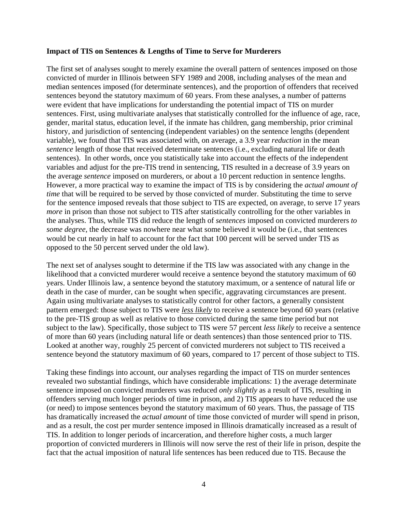### **Impact of TIS on Sentences & Lengths of Time to Serve for Murderers**

The first set of analyses sought to merely examine the overall pattern of sentences imposed on those convicted of murder in Illinois between SFY 1989 and 2008, including analyses of the mean and median sentences imposed (for determinate sentences), and the proportion of offenders that received sentences beyond the statutory maximum of 60 years. From these analyses, a number of patterns were evident that have implications for understanding the potential impact of TIS on murder sentences. First, using multivariate analyses that statistically controlled for the influence of age, race, gender, marital status, education level, if the inmate has children, gang membership, prior criminal history, and jurisdiction of sentencing (independent variables) on the sentence lengths (dependent variable), we found that TIS was associated with, on average, a 3.9 year *reduction* in the mean *sentence* length of those that received determinate sentences (i.e., excluding natural life or death sentences). In other words, once you statistically take into account the effects of the independent variables and adjust for the pre-TIS trend in sentencing, TIS resulted in a decrease of 3.9 years on the average *sentence* imposed on murderers, or about a 10 percent reduction in sentence lengths. However, a more practical way to examine the impact of TIS is by considering the *actual amount of time* that will be required to be served by those convicted of murder. Substituting the time to serve for the sentence imposed reveals that those subject to TIS are expected, on average, to serve 17 years *more* in prison than those not subject to TIS after statistically controlling for the other variables in the analyses. Thus, while TIS did reduce the length of *sentences* imposed on convicted murderers *to some degree*, the decrease was nowhere near what some believed it would be (i.e., that sentences would be cut nearly in half to account for the fact that 100 percent will be served under TIS as opposed to the 50 percent served under the old law).

The next set of analyses sought to determine if the TIS law was associated with any change in the likelihood that a convicted murderer would receive a sentence beyond the statutory maximum of 60 years. Under Illinois law, a sentence beyond the statutory maximum, or a sentence of natural life or death in the case of murder, can be sought when specific, aggravating circumstances are present. Again using multivariate analyses to statistically control for other factors, a generally consistent pattern emerged: those subject to TIS were *less likely* to receive a sentence beyond 60 years (relative to the pre-TIS group as well as relative to those convicted during the same time period but not subject to the law). Specifically, those subject to TIS were 57 percent *less likely* to receive a sentence of more than 60 years (including natural life or death sentences) than those sentenced prior to TIS. Looked at another way, roughly 25 percent of convicted murderers not subject to TIS received a sentence beyond the statutory maximum of 60 years, compared to 17 percent of those subject to TIS.

Taking these findings into account, our analyses regarding the impact of TIS on murder sentences revealed two substantial findings, which have considerable implications: 1) the average determinate sentence imposed on convicted murderers was reduced *only slightly* as a result of TIS, resulting in offenders serving much longer periods of time in prison, and 2) TIS appears to have reduced the use (or need) to impose sentences beyond the statutory maximum of 60 years. Thus, the passage of TIS has dramatically increased the *actual amount* of time those convicted of murder will spend in prison, and as a result, the cost per murder sentence imposed in Illinois dramatically increased as a result of TIS. In addition to longer periods of incarceration, and therefore higher costs, a much larger proportion of convicted murderers in Illinois will now serve the rest of their life in prison, despite the fact that the actual imposition of natural life sentences has been reduced due to TIS. Because the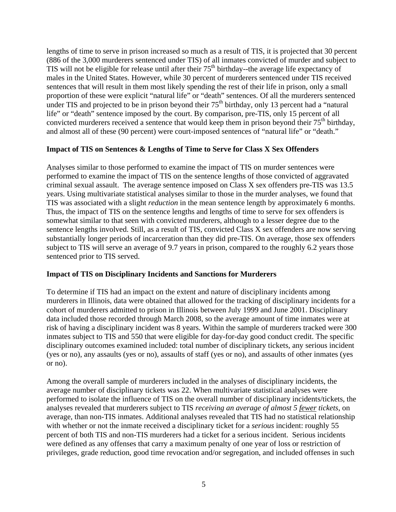lengths of time to serve in prison increased so much as a result of TIS, it is projected that 30 percent (886 of the 3,000 murderers sentenced under TIS) of all inmates convicted of murder and subject to TIS will not be eligible for release until after their  $75<sup>th</sup>$  birthday--the average life expectancy of males in the United States. However, while 30 percent of murderers sentenced under TIS received sentences that will result in them most likely spending the rest of their life in prison, only a small proportion of these were explicit "natural life" or "death" sentences. Of all the murderers sentenced under TIS and projected to be in prison beyond their  $75<sup>th</sup>$  birthday, only 13 percent had a "natural" life" or "death" sentence imposed by the court. By comparison, pre-TIS, only 15 percent of all convicted murderers received a sentence that would keep them in prison beyond their  $75<sup>th</sup>$  birthday, and almost all of these (90 percent) were court-imposed sentences of "natural life" or "death."

### **Impact of TIS on Sentences & Lengths of Time to Serve for Class X Sex Offenders**

Analyses similar to those performed to examine the impact of TIS on murder sentences were performed to examine the impact of TIS on the sentence lengths of those convicted of aggravated criminal sexual assault. The average sentence imposed on Class X sex offenders pre-TIS was 13.5 years. Using multivariate statistical analyses similar to those in the murder analyses, we found that TIS was associated with a slight *reduction* in the mean sentence length by approximately 6 months. Thus, the impact of TIS on the sentence lengths and lengths of time to serve for sex offenders is somewhat similar to that seen with convicted murderers, although to a lesser degree due to the sentence lengths involved. Still, as a result of TIS, convicted Class X sex offenders are now serving substantially longer periods of incarceration than they did pre-TIS. On average, those sex offenders subject to TIS will serve an average of 9.7 years in prison, compared to the roughly 6.2 years those sentenced prior to TIS served.

### **Impact of TIS on Disciplinary Incidents and Sanctions for Murderers**

To determine if TIS had an impact on the extent and nature of disciplinary incidents among murderers in Illinois, data were obtained that allowed for the tracking of disciplinary incidents for a cohort of murderers admitted to prison in Illinois between July 1999 and June 2001. Disciplinary data included those recorded through March 2008, so the average amount of time inmates were at risk of having a disciplinary incident was 8 years. Within the sample of murderers tracked were 300 inmates subject to TIS and 550 that were eligible for day-for-day good conduct credit. The specific disciplinary outcomes examined included: total number of disciplinary tickets, any serious incident (yes or no), any assaults (yes or no), assaults of staff (yes or no), and assaults of other inmates (yes or no).

Among the overall sample of murderers included in the analyses of disciplinary incidents, the average number of disciplinary tickets was 22. When multivariate statistical analyses were performed to isolate the influence of TIS on the overall number of disciplinary incidents/tickets, the analyses revealed that murderers subject to TIS *receiving an average of almost 5 fewer tickets*, on average, than non-TIS inmates. Additional analyses revealed that TIS had no statistical relationship with whether or not the inmate received a disciplinary ticket for a *serious* incident: roughly 55 percent of both TIS and non-TIS murderers had a ticket for a serious incident. Serious incidents were defined as any offenses that carry a maximum penalty of one year of loss or restriction of privileges, grade reduction, good time revocation and/or segregation, and included offenses in such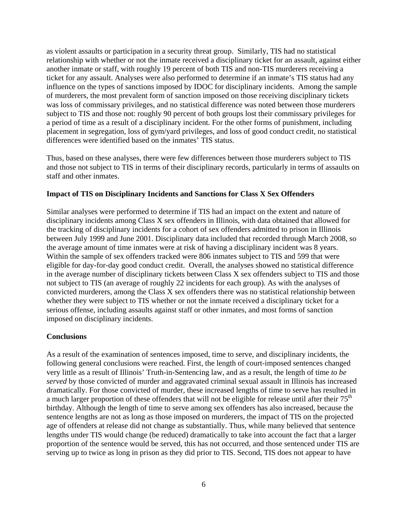as violent assaults or participation in a security threat group. Similarly, TIS had no statistical relationship with whether or not the inmate received a disciplinary ticket for an assault, against either another inmate or staff, with roughly 19 percent of both TIS and non-TIS murderers receiving a ticket for any assault. Analyses were also performed to determine if an inmate's TIS status had any influence on the types of sanctions imposed by IDOC for disciplinary incidents. Among the sample of murderers, the most prevalent form of sanction imposed on those receiving disciplinary tickets was loss of commissary privileges, and no statistical difference was noted between those murderers subject to TIS and those not: roughly 90 percent of both groups lost their commissary privileges for a period of time as a result of a disciplinary incident. For the other forms of punishment, including placement in segregation, loss of gym/yard privileges, and loss of good conduct credit, no statistical differences were identified based on the inmates' TIS status.

Thus, based on these analyses, there were few differences between those murderers subject to TIS and those not subject to TIS in terms of their disciplinary records, particularly in terms of assaults on staff and other inmates.

### **Impact of TIS on Disciplinary Incidents and Sanctions for Class X Sex Offenders**

Similar analyses were performed to determine if TIS had an impact on the extent and nature of disciplinary incidents among Class X sex offenders in Illinois, with data obtained that allowed for the tracking of disciplinary incidents for a cohort of sex offenders admitted to prison in Illinois between July 1999 and June 2001. Disciplinary data included that recorded through March 2008, so the average amount of time inmates were at risk of having a disciplinary incident was 8 years. Within the sample of sex offenders tracked were 806 inmates subject to TIS and 599 that were eligible for day-for-day good conduct credit. Overall, the analyses showed no statistical difference in the average number of disciplinary tickets between Class X sex offenders subject to TIS and those not subject to TIS (an average of roughly 22 incidents for each group). As with the analyses of convicted murderers, among the Class X sex offenders there was no statistical relationship between whether they were subject to TIS whether or not the inmate received a disciplinary ticket for a serious offense, including assaults against staff or other inmates, and most forms of sanction imposed on disciplinary incidents.

### **Conclusions**

As a result of the examination of sentences imposed, time to serve, and disciplinary incidents, the following general conclusions were reached. First, the length of court-imposed sentences changed very little as a result of Illinois' Truth-in-Sentencing law, and as a result, the length of time *to be served* by those convicted of murder and aggravated criminal sexual assault in Illinois has increased dramatically. For those convicted of murder, these increased lengths of time to serve has resulted in a much larger proportion of these offenders that will not be eligible for release until after their 75<sup>th</sup> birthday. Although the length of time to serve among sex offenders has also increased, because the sentence lengths are not as long as those imposed on murderers, the impact of TIS on the projected age of offenders at release did not change as substantially. Thus, while many believed that sentence lengths under TIS would change (be reduced) dramatically to take into account the fact that a larger proportion of the sentence would be served, this has not occurred, and those sentenced under TIS are serving up to twice as long in prison as they did prior to TIS. Second, TIS does not appear to have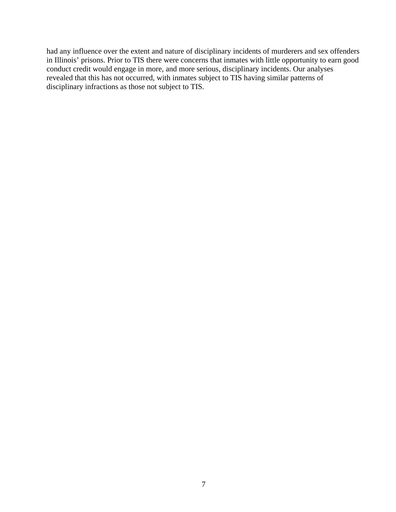had any influence over the extent and nature of disciplinary incidents of murderers and sex offenders in Illinois' prisons. Prior to TIS there were concerns that inmates with little opportunity to earn good conduct credit would engage in more, and more serious, disciplinary incidents. Our analyses revealed that this has not occurred, with inmates subject to TIS having similar patterns of disciplinary infractions as those not subject to TIS.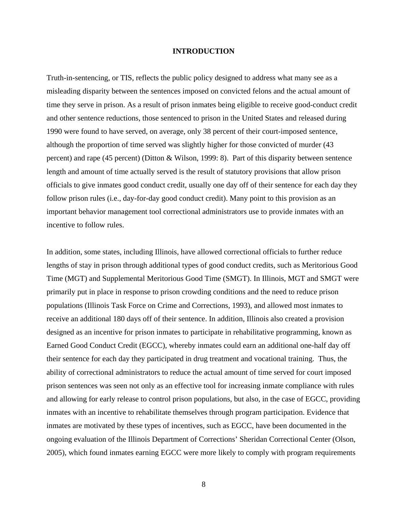#### **INTRODUCTION**

Truth-in-sentencing, or TIS, reflects the public policy designed to address what many see as a misleading disparity between the sentences imposed on convicted felons and the actual amount of time they serve in prison. As a result of prison inmates being eligible to receive good-conduct credit and other sentence reductions, those sentenced to prison in the United States and released during 1990 were found to have served, on average, only 38 percent of their court-imposed sentence, although the proportion of time served was slightly higher for those convicted of murder (43 percent) and rape (45 percent) (Ditton & Wilson, 1999: 8). Part of this disparity between sentence length and amount of time actually served is the result of statutory provisions that allow prison officials to give inmates good conduct credit, usually one day off of their sentence for each day they follow prison rules (i.e., day-for-day good conduct credit). Many point to this provision as an important behavior management tool correctional administrators use to provide inmates with an incentive to follow rules.

In addition, some states, including Illinois, have allowed correctional officials to further reduce lengths of stay in prison through additional types of good conduct credits, such as Meritorious Good Time (MGT) and Supplemental Meritorious Good Time (SMGT). In Illinois, MGT and SMGT were primarily put in place in response to prison crowding conditions and the need to reduce prison populations (Illinois Task Force on Crime and Corrections, 1993), and allowed most inmates to receive an additional 180 days off of their sentence. In addition, Illinois also created a provision designed as an incentive for prison inmates to participate in rehabilitative programming, known as Earned Good Conduct Credit (EGCC), whereby inmates could earn an additional one-half day off their sentence for each day they participated in drug treatment and vocational training. Thus, the ability of correctional administrators to reduce the actual amount of time served for court imposed prison sentences was seen not only as an effective tool for increasing inmate compliance with rules and allowing for early release to control prison populations, but also, in the case of EGCC, providing inmates with an incentive to rehabilitate themselves through program participation. Evidence that inmates are motivated by these types of incentives, such as EGCC, have been documented in the ongoing evaluation of the Illinois Department of Corrections' Sheridan Correctional Center (Olson, 2005), which found inmates earning EGCC were more likely to comply with program requirements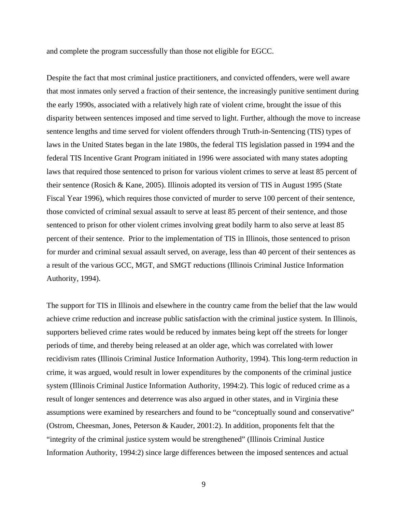and complete the program successfully than those not eligible for EGCC.

Despite the fact that most criminal justice practitioners, and convicted offenders, were well aware that most inmates only served a fraction of their sentence, the increasingly punitive sentiment during the early 1990s, associated with a relatively high rate of violent crime, brought the issue of this disparity between sentences imposed and time served to light. Further, although the move to increase sentence lengths and time served for violent offenders through Truth-in-Sentencing (TIS) types of laws in the United States began in the late 1980s, the federal TIS legislation passed in 1994 and the federal TIS Incentive Grant Program initiated in 1996 were associated with many states adopting laws that required those sentenced to prison for various violent crimes to serve at least 85 percent of their sentence (Rosich & Kane, 2005). Illinois adopted its version of TIS in August 1995 (State Fiscal Year 1996), which requires those convicted of murder to serve 100 percent of their sentence, those convicted of criminal sexual assault to serve at least 85 percent of their sentence, and those sentenced to prison for other violent crimes involving great bodily harm to also serve at least 85 percent of their sentence. Prior to the implementation of TIS in Illinois, those sentenced to prison for murder and criminal sexual assault served, on average, less than 40 percent of their sentences as a result of the various GCC, MGT, and SMGT reductions (Illinois Criminal Justice Information Authority, 1994).

The support for TIS in Illinois and elsewhere in the country came from the belief that the law would achieve crime reduction and increase public satisfaction with the criminal justice system. In Illinois, supporters believed crime rates would be reduced by inmates being kept off the streets for longer periods of time, and thereby being released at an older age, which was correlated with lower recidivism rates (Illinois Criminal Justice Information Authority, 1994). This long-term reduction in crime, it was argued, would result in lower expenditures by the components of the criminal justice system (Illinois Criminal Justice Information Authority, 1994:2). This logic of reduced crime as a result of longer sentences and deterrence was also argued in other states, and in Virginia these assumptions were examined by researchers and found to be "conceptually sound and conservative" (Ostrom, Cheesman, Jones, Peterson & Kauder, 2001:2). In addition, proponents felt that the "integrity of the criminal justice system would be strengthened" (Illinois Criminal Justice Information Authority, 1994:2) since large differences between the imposed sentences and actual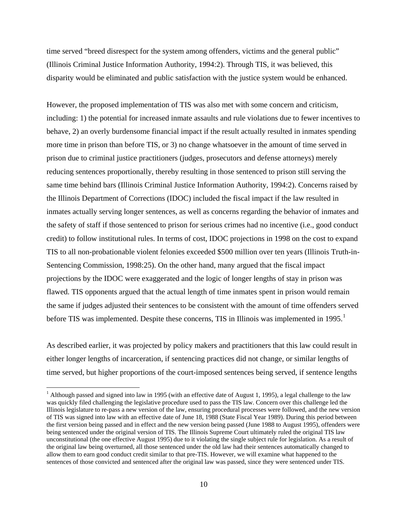time served "breed disrespect for the system among offenders, victims and the general public" (Illinois Criminal Justice Information Authority, 1994:2). Through TIS, it was believed, this disparity would be eliminated and public satisfaction with the justice system would be enhanced.

However, the proposed implementation of TIS was also met with some concern and criticism, including: 1) the potential for increased inmate assaults and rule violations due to fewer incentives to behave, 2) an overly burdensome financial impact if the result actually resulted in inmates spending more time in prison than before TIS, or 3) no change whatsoever in the amount of time served in prison due to criminal justice practitioners (judges, prosecutors and defense attorneys) merely reducing sentences proportionally, thereby resulting in those sentenced to prison still serving the same time behind bars (Illinois Criminal Justice Information Authority, 1994:2). Concerns raised by the Illinois Department of Corrections (IDOC) included the fiscal impact if the law resulted in inmates actually serving longer sentences, as well as concerns regarding the behavior of inmates and the safety of staff if those sentenced to prison for serious crimes had no incentive (i.e., good conduct credit) to follow institutional rules. In terms of cost, IDOC projections in 1998 on the cost to expand TIS to all non-probationable violent felonies exceeded \$500 million over ten years (Illinois Truth-in-Sentencing Commission, 1998:25). On the other hand, many argued that the fiscal impact projections by the IDOC were exaggerated and the logic of longer lengths of stay in prison was flawed. TIS opponents argued that the actual length of time inmates spent in prison would remain the same if judges adjusted their sentences to be consistent with the amount of time offenders served before TIS was implemented. Despite these concerns, TIS in Illinois was implemented in [1](#page-9-0)995.<sup>1</sup>

As described earlier, it was projected by policy makers and practitioners that this law could result in either longer lengths of incarceration, if sentencing practices did not change, or similar lengths of time served, but higher proportions of the court-imposed sentences being served, if sentence lengths

 $\overline{a}$ 

<span id="page-9-0"></span><sup>&</sup>lt;sup>1</sup> Although passed and signed into law in 1995 (with an effective date of August 1, 1995), a legal challenge to the law was quickly filed challenging the legislative procedure used to pass the TIS law. Concern over this challenge led the Illinois legislature to re-pass a new version of the law, ensuring procedural processes were followed, and the new version of TIS was signed into law with an effective date of June 18, 1988 (State Fiscal Year 1989). During this period between the first version being passed and in effect and the new version being passed (June 1988 to August 1995), offenders were being sentenced under the original version of TIS. The Illinois Supreme Court ultimately ruled the original TIS law unconstitutional (the one effective August 1995) due to it violating the single subject rule for legislation. As a result of the original law being overturned, all those sentenced under the old law had their sentences automatically changed to allow them to earn good conduct credit similar to that pre-TIS. However, we will examine what happened to the sentences of those convicted and sentenced after the original law was passed, since they were sentenced under TIS.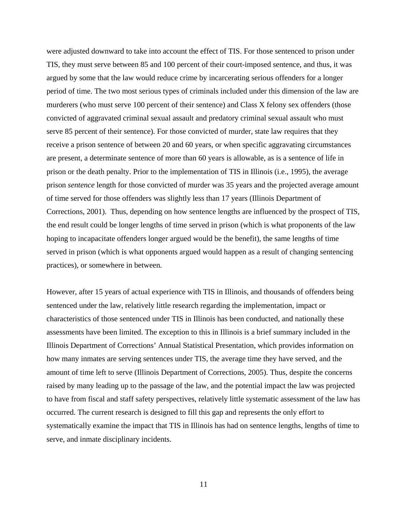were adjusted downward to take into account the effect of TIS. For those sentenced to prison under TIS, they must serve between 85 and 100 percent of their court-imposed sentence, and thus, it was argued by some that the law would reduce crime by incarcerating serious offenders for a longer period of time. The two most serious types of criminals included under this dimension of the law are murderers (who must serve 100 percent of their sentence) and Class X felony sex offenders (those convicted of aggravated criminal sexual assault and predatory criminal sexual assault who must serve 85 percent of their sentence). For those convicted of murder, state law requires that they receive a prison sentence of between 20 and 60 years, or when specific aggravating circumstances are present, a determinate sentence of more than 60 years is allowable, as is a sentence of life in prison or the death penalty. Prior to the implementation of TIS in Illinois (i.e., 1995), the average prison *sentence* length for those convicted of murder was 35 years and the projected average amount of time served for those offenders was slightly less than 17 years (Illinois Department of Corrections, 2001). Thus, depending on how sentence lengths are influenced by the prospect of TIS, the end result could be longer lengths of time served in prison (which is what proponents of the law hoping to incapacitate offenders longer argued would be the benefit), the same lengths of time served in prison (which is what opponents argued would happen as a result of changing sentencing practices), or somewhere in between.

However, after 15 years of actual experience with TIS in Illinois, and thousands of offenders being sentenced under the law, relatively little research regarding the implementation, impact or characteristics of those sentenced under TIS in Illinois has been conducted, and nationally these assessments have been limited. The exception to this in Illinois is a brief summary included in the Illinois Department of Corrections' Annual Statistical Presentation, which provides information on how many inmates are serving sentences under TIS, the average time they have served, and the amount of time left to serve (Illinois Department of Corrections, 2005). Thus, despite the concerns raised by many leading up to the passage of the law, and the potential impact the law was projected to have from fiscal and staff safety perspectives, relatively little systematic assessment of the law has occurred. The current research is designed to fill this gap and represents the only effort to systematically examine the impact that TIS in Illinois has had on sentence lengths, lengths of time to serve, and inmate disciplinary incidents.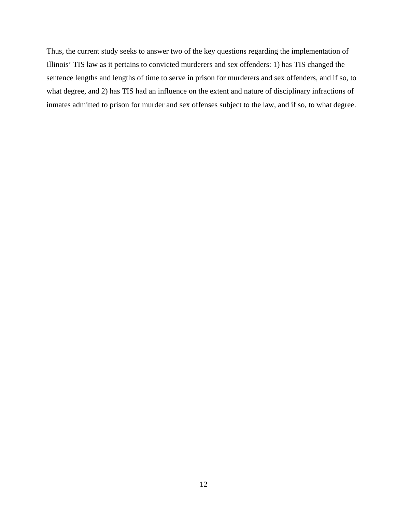Thus, the current study seeks to answer two of the key questions regarding the implementation of Illinois' TIS law as it pertains to convicted murderers and sex offenders: 1) has TIS changed the sentence lengths and lengths of time to serve in prison for murderers and sex offenders, and if so, to what degree, and 2) has TIS had an influence on the extent and nature of disciplinary infractions of inmates admitted to prison for murder and sex offenses subject to the law, and if so, to what degree.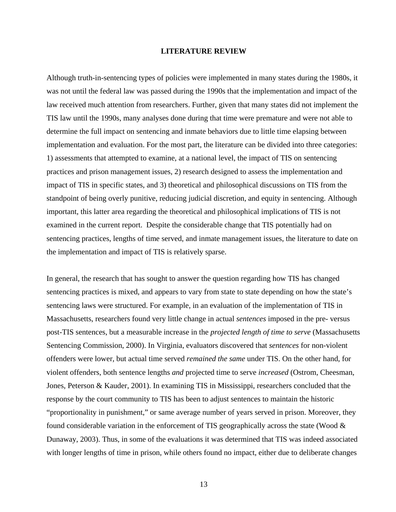#### **LITERATURE REVIEW**

Although truth-in-sentencing types of policies were implemented in many states during the 1980s, it was not until the federal law was passed during the 1990s that the implementation and impact of the law received much attention from researchers. Further, given that many states did not implement the TIS law until the 1990s, many analyses done during that time were premature and were not able to determine the full impact on sentencing and inmate behaviors due to little time elapsing between implementation and evaluation. For the most part, the literature can be divided into three categories: 1) assessments that attempted to examine, at a national level, the impact of TIS on sentencing practices and prison management issues, 2) research designed to assess the implementation and impact of TIS in specific states, and 3) theoretical and philosophical discussions on TIS from the standpoint of being overly punitive, reducing judicial discretion, and equity in sentencing. Although important, this latter area regarding the theoretical and philosophical implications of TIS is not examined in the current report. Despite the considerable change that TIS potentially had on sentencing practices, lengths of time served, and inmate management issues, the literature to date on the implementation and impact of TIS is relatively sparse.

In general, the research that has sought to answer the question regarding how TIS has changed sentencing practices is mixed, and appears to vary from state to state depending on how the state's sentencing laws were structured. For example, in an evaluation of the implementation of TIS in Massachusetts, researchers found very little change in actual *sentences* imposed in the pre- versus post-TIS sentences, but a measurable increase in the *projected length of time to serve* (Massachusetts Sentencing Commission, 2000). In Virginia, evaluators discovered that *sentences* for non-violent offenders were lower, but actual time served *remained the same* under TIS. On the other hand, for violent offenders, both sentence lengths *and* projected time to serve *increased* (Ostrom, Cheesman, Jones, Peterson & Kauder, 2001). In examining TIS in Mississippi, researchers concluded that the response by the court community to TIS has been to adjust sentences to maintain the historic "proportionality in punishment," or same average number of years served in prison. Moreover, they found considerable variation in the enforcement of TIS geographically across the state (Wood  $\&$ Dunaway, 2003). Thus, in some of the evaluations it was determined that TIS was indeed associated with longer lengths of time in prison, while others found no impact, either due to deliberate changes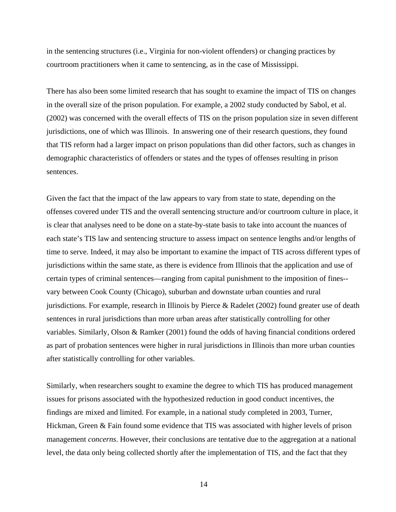in the sentencing structures (i.e., Virginia for non-violent offenders) or changing practices by courtroom practitioners when it came to sentencing, as in the case of Mississippi.

There has also been some limited research that has sought to examine the impact of TIS on changes in the overall size of the prison population. For example, a 2002 study conducted by Sabol, et al. (2002) was concerned with the overall effects of TIS on the prison population size in seven different jurisdictions, one of which was Illinois. In answering one of their research questions, they found that TIS reform had a larger impact on prison populations than did other factors, such as changes in demographic characteristics of offenders or states and the types of offenses resulting in prison sentences.

Given the fact that the impact of the law appears to vary from state to state, depending on the offenses covered under TIS and the overall sentencing structure and/or courtroom culture in place, it is clear that analyses need to be done on a state-by-state basis to take into account the nuances of each state's TIS law and sentencing structure to assess impact on sentence lengths and/or lengths of time to serve. Indeed, it may also be important to examine the impact of TIS across different types of jurisdictions within the same state, as there is evidence from Illinois that the application and use of certain types of criminal sentences—ranging from capital punishment to the imposition of fines- vary between Cook County (Chicago), suburban and downstate urban counties and rural jurisdictions. For example, research in Illinois by Pierce & Radelet (2002) found greater use of death sentences in rural jurisdictions than more urban areas after statistically controlling for other variables. Similarly, Olson & Ramker (2001) found the odds of having financial conditions ordered as part of probation sentences were higher in rural jurisdictions in Illinois than more urban counties after statistically controlling for other variables.

Similarly, when researchers sought to examine the degree to which TIS has produced management issues for prisons associated with the hypothesized reduction in good conduct incentives, the findings are mixed and limited. For example, in a national study completed in 2003, Turner, Hickman, Green & Fain found some evidence that TIS was associated with higher levels of prison management *concerns*. However, their conclusions are tentative due to the aggregation at a national level, the data only being collected shortly after the implementation of TIS, and the fact that they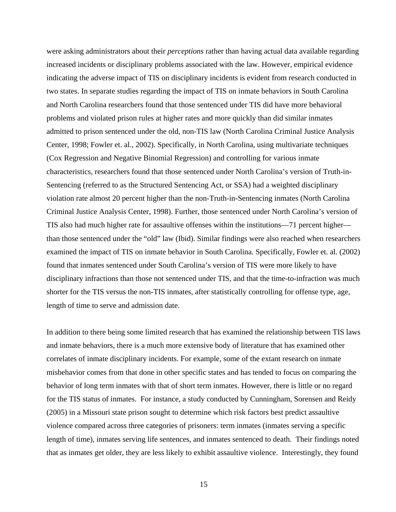were asking administrators about their *perceptions* rather than having actual data available regarding increased incidents or disciplinary problems associated with the law. However, empirical evidence indicating the adverse impact of TIS on disciplinary incidents is evident from research conducted in two states. In separate studies regarding the impact of TIS on inmate behaviors in South Carolina and North Carolina researchers found that those sentenced under TIS did have more behavioral problems and violated prison rules at higher rates and more quickly than did similar inmates admitted to prison sentenced under the old, non-TIS law (North Carolina Criminal Justice Analysis Center, 1998; Fowler et. al., 2002). Specifically, in North Carolina, using multivariate techniques (Cox Regression and Negative Binomial Regression) and controlling for various inmate characteristics, researchers found that those sentenced under North Carolina's version of Truth-in-Sentencing (referred to as the Structured Sentencing Act, or SSA) had a weighted disciplinary violation rate almost 20 percent higher than the non-Truth-in-Sentencing inmates (North Carolina Criminal Justice Analysis Center, 1998). Further, those sentenced under North Carolina's version of TIS also had much higher rate for assaultive offenses within the institutions—71 percent higher than those sentenced under the "old" law (Ibid). Similar findings were also reached when researchers examined the impact of TIS on inmate behavior in South Carolina. Specifically, Fowler et. al. (2002) found that inmates sentenced under South Carolina's version of TIS were more likely to have disciplinary infractions than those not sentenced under TIS, and that the time-to-infraction was much shorter for the TIS versus the non-TIS inmates, after statistically controlling for offense type, age, length of time to serve and admission date.

In addition to there being some limited research that has examined the relationship between TIS laws and inmate behaviors, there is a much more extensive body of literature that has examined other correlates of inmate disciplinary incidents. For example, some of the extant research on inmate misbehavior comes from that done in other specific states and has tended to focus on comparing the behavior of long term inmates with that of short term inmates. However, there is little or no regard for the TIS status of inmates. For instance, a study conducted by Cunningham, Sorensen and Reidy (2005) in a Missouri state prison sought to determine which risk factors best predict assaultive violence compared across three categories of prisoners: term inmates (inmates serving a specific length of time), inmates serving life sentences, and inmates sentenced to death. Their findings noted that as inmates get older, they are less likely to exhibit assaultive violence. Interestingly, they found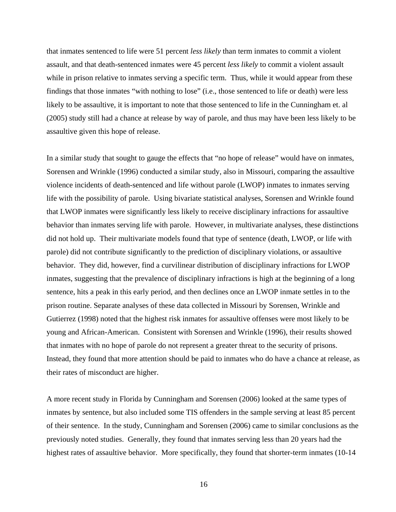that inmates sentenced to life were 51 percent *less likely* than term inmates to commit a violent assault, and that death-sentenced inmates were 45 percent *less likely* to commit a violent assault while in prison relative to inmates serving a specific term. Thus, while it would appear from these findings that those inmates "with nothing to lose" (i.e., those sentenced to life or death) were less likely to be assaultive, it is important to note that those sentenced to life in the Cunningham et. al (2005) study still had a chance at release by way of parole, and thus may have been less likely to be assaultive given this hope of release.

In a similar study that sought to gauge the effects that "no hope of release" would have on inmates, Sorensen and Wrinkle (1996) conducted a similar study, also in Missouri, comparing the assaultive violence incidents of death-sentenced and life without parole (LWOP) inmates to inmates serving life with the possibility of parole. Using bivariate statistical analyses, Sorensen and Wrinkle found that LWOP inmates were significantly less likely to receive disciplinary infractions for assaultive behavior than inmates serving life with parole. However, in multivariate analyses, these distinctions did not hold up. Their multivariate models found that type of sentence (death, LWOP, or life with parole) did not contribute significantly to the prediction of disciplinary violations, or assaultive behavior. They did, however, find a curvilinear distribution of disciplinary infractions for LWOP inmates, suggesting that the prevalence of disciplinary infractions is high at the beginning of a long sentence, hits a peak in this early period, and then declines once an LWOP inmate settles in to the prison routine. Separate analyses of these data collected in Missouri by Sorensen, Wrinkle and Gutierrez (1998) noted that the highest risk inmates for assaultive offenses were most likely to be young and African-American. Consistent with Sorensen and Wrinkle (1996), their results showed that inmates with no hope of parole do not represent a greater threat to the security of prisons. Instead, they found that more attention should be paid to inmates who do have a chance at release, as their rates of misconduct are higher.

A more recent study in Florida by Cunningham and Sorensen (2006) looked at the same types of inmates by sentence, but also included some TIS offenders in the sample serving at least 85 percent of their sentence. In the study, Cunningham and Sorensen (2006) came to similar conclusions as the previously noted studies. Generally, they found that inmates serving less than 20 years had the highest rates of assaultive behavior. More specifically, they found that shorter-term inmates (10-14)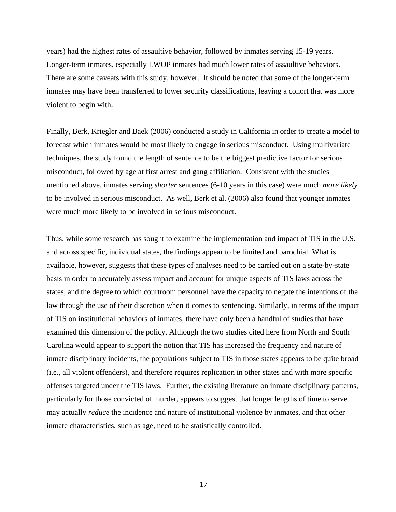years) had the highest rates of assaultive behavior, followed by inmates serving 15-19 years. Longer-term inmates, especially LWOP inmates had much lower rates of assaultive behaviors. There are some caveats with this study, however. It should be noted that some of the longer-term inmates may have been transferred to lower security classifications, leaving a cohort that was more violent to begin with.

Finally, Berk, Kriegler and Baek (2006) conducted a study in California in order to create a model to forecast which inmates would be most likely to engage in serious misconduct. Using multivariate techniques, the study found the length of sentence to be the biggest predictive factor for serious misconduct, followed by age at first arrest and gang affiliation. Consistent with the studies mentioned above, inmates serving *shorter* sentences (6-10 years in this case) were much *more likely* to be involved in serious misconduct. As well, Berk et al. (2006) also found that younger inmates were much more likely to be involved in serious misconduct.

Thus, while some research has sought to examine the implementation and impact of TIS in the U.S. and across specific, individual states, the findings appear to be limited and parochial. What is available, however, suggests that these types of analyses need to be carried out on a state-by-state basis in order to accurately assess impact and account for unique aspects of TIS laws across the states, and the degree to which courtroom personnel have the capacity to negate the intentions of the law through the use of their discretion when it comes to sentencing. Similarly, in terms of the impact of TIS on institutional behaviors of inmates, there have only been a handful of studies that have examined this dimension of the policy. Although the two studies cited here from North and South Carolina would appear to support the notion that TIS has increased the frequency and nature of inmate disciplinary incidents, the populations subject to TIS in those states appears to be quite broad (i.e., all violent offenders), and therefore requires replication in other states and with more specific offenses targeted under the TIS laws. Further, the existing literature on inmate disciplinary patterns, particularly for those convicted of murder, appears to suggest that longer lengths of time to serve may actually *reduce* the incidence and nature of institutional violence by inmates, and that other inmate characteristics, such as age, need to be statistically controlled.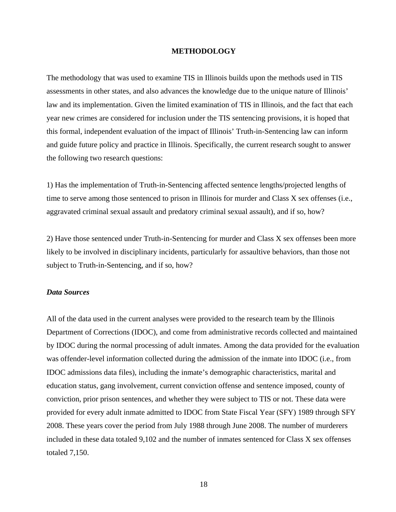#### **METHODOLOGY**

The methodology that was used to examine TIS in Illinois builds upon the methods used in TIS assessments in other states, and also advances the knowledge due to the unique nature of Illinois' law and its implementation. Given the limited examination of TIS in Illinois, and the fact that each year new crimes are considered for inclusion under the TIS sentencing provisions, it is hoped that this formal, independent evaluation of the impact of Illinois' Truth-in-Sentencing law can inform and guide future policy and practice in Illinois. Specifically, the current research sought to answer the following two research questions:

1) Has the implementation of Truth-in-Sentencing affected sentence lengths/projected lengths of time to serve among those sentenced to prison in Illinois for murder and Class X sex offenses (i.e., aggravated criminal sexual assault and predatory criminal sexual assault), and if so, how?

2) Have those sentenced under Truth-in-Sentencing for murder and Class X sex offenses been more likely to be involved in disciplinary incidents, particularly for assaultive behaviors, than those not subject to Truth-in-Sentencing, and if so, how?

### *Data Sources*

All of the data used in the current analyses were provided to the research team by the Illinois Department of Corrections (IDOC), and come from administrative records collected and maintained by IDOC during the normal processing of adult inmates. Among the data provided for the evaluation was offender-level information collected during the admission of the inmate into IDOC (i.e., from IDOC admissions data files), including the inmate's demographic characteristics, marital and education status, gang involvement, current conviction offense and sentence imposed, county of conviction, prior prison sentences, and whether they were subject to TIS or not. These data were provided for every adult inmate admitted to IDOC from State Fiscal Year (SFY) 1989 through SFY 2008. These years cover the period from July 1988 through June 2008. The number of murderers included in these data totaled 9,102 and the number of inmates sentenced for Class X sex offenses totaled 7,150.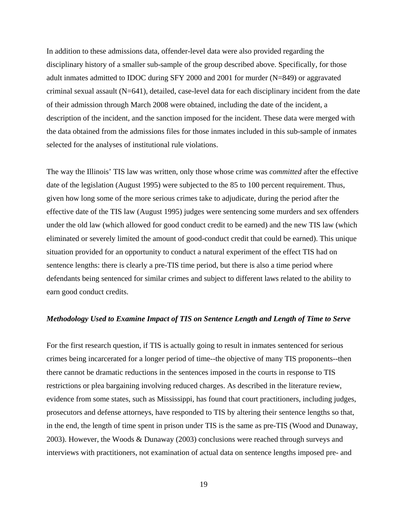In addition to these admissions data, offender-level data were also provided regarding the disciplinary history of a smaller sub-sample of the group described above. Specifically, for those adult inmates admitted to IDOC during SFY 2000 and 2001 for murder (N=849) or aggravated criminal sexual assault (N=641), detailed, case-level data for each disciplinary incident from the date of their admission through March 2008 were obtained, including the date of the incident, a description of the incident, and the sanction imposed for the incident. These data were merged with the data obtained from the admissions files for those inmates included in this sub-sample of inmates selected for the analyses of institutional rule violations.

The way the Illinois' TIS law was written, only those whose crime was *committed* after the effective date of the legislation (August 1995) were subjected to the 85 to 100 percent requirement. Thus, given how long some of the more serious crimes take to adjudicate, during the period after the effective date of the TIS law (August 1995) judges were sentencing some murders and sex offenders under the old law (which allowed for good conduct credit to be earned) and the new TIS law (which eliminated or severely limited the amount of good-conduct credit that could be earned). This unique situation provided for an opportunity to conduct a natural experiment of the effect TIS had on sentence lengths: there is clearly a pre-TIS time period, but there is also a time period where defendants being sentenced for similar crimes and subject to different laws related to the ability to earn good conduct credits.

#### *Methodology Used to Examine Impact of TIS on Sentence Length and Length of Time to Serve*

For the first research question, if TIS is actually going to result in inmates sentenced for serious crimes being incarcerated for a longer period of time--the objective of many TIS proponents--then there cannot be dramatic reductions in the sentences imposed in the courts in response to TIS restrictions or plea bargaining involving reduced charges. As described in the literature review, evidence from some states, such as Mississippi, has found that court practitioners, including judges, prosecutors and defense attorneys, have responded to TIS by altering their sentence lengths so that, in the end, the length of time spent in prison under TIS is the same as pre-TIS (Wood and Dunaway, 2003). However, the Woods & Dunaway (2003) conclusions were reached through surveys and interviews with practitioners, not examination of actual data on sentence lengths imposed pre- and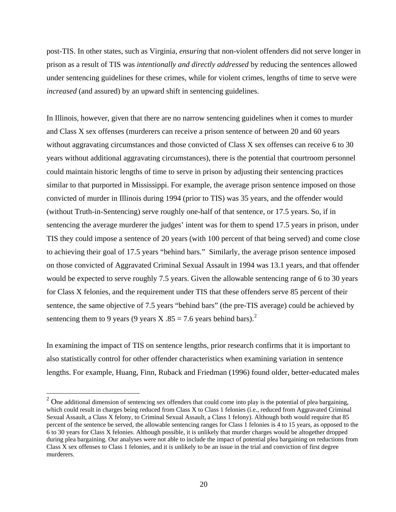post-TIS. In other states, such as Virginia, *ensuring* that non-violent offenders did not serve longer in prison as a result of TIS was *intentionally and directly addressed* by reducing the sentences allowed under sentencing guidelines for these crimes, while for violent crimes, lengths of time to serve were *increased* (and assured) by an upward shift in sentencing guidelines.

In Illinois, however, given that there are no narrow sentencing guidelines when it comes to murder and Class X sex offenses (murderers can receive a prison sentence of between 20 and 60 years without aggravating circumstances and those convicted of Class X sex offenses can receive 6 to 30 years without additional aggravating circumstances), there is the potential that courtroom personnel could maintain historic lengths of time to serve in prison by adjusting their sentencing practices similar to that purported in Mississippi. For example, the average prison sentence imposed on those convicted of murder in Illinois during 1994 (prior to TIS) was 35 years, and the offender would (without Truth-in-Sentencing) serve roughly one-half of that sentence, or 17.5 years. So, if in sentencing the average murderer the judges' intent was for them to spend 17.5 years in prison, under TIS they could impose a sentence of 20 years (with 100 percent of that being served) and come close to achieving their goal of 17.5 years "behind bars." Similarly, the average prison sentence imposed on those convicted of Aggravated Criminal Sexual Assault in 1994 was 13.1 years, and that offender would be expected to serve roughly 7.5 years. Given the allowable sentencing range of 6 to 30 years for Class X felonies, and the requirement under TIS that these offenders serve 85 percent of their sentence, the same objective of 7.5 years "behind bars" (the pre-TIS average) could be achieved by sentencing them to 9 years (9 years X .85 = 7.6 years behind bars).<sup>[2](#page-19-0)</sup>

In examining the impact of TIS on sentence lengths, prior research confirms that it is important to also statistically control for other offender characteristics when examining variation in sentence lengths. For example, Huang, Finn, Ruback and Friedman (1996) found older, better-educated males

<span id="page-19-0"></span><sup>&</sup>lt;sup>2</sup> One additional dimension of sentencing sex offenders that could come into play is the potential of plea bargaining, which could result in charges being reduced from Class X to Class 1 felonies (i.e., reduced from Aggravated Criminal Sexual Assault, a Class X felony, to Criminal Sexual Assault, a Class 1 felony). Although both would require that 85 percent of the sentence be served, the allowable sentencing ranges for Class 1 felonies is 4 to 15 years, as opposed to the 6 to 30 years for Class X felonies. Although possible, it is unlikely that murder charges would be altogether dropped during plea bargaining. Our analyses were not able to include the impact of potential plea bargaining on reductions from Class X sex offenses to Class 1 felonies, and it is unlikely to be an issue in the trial and conviction of first degree murderers.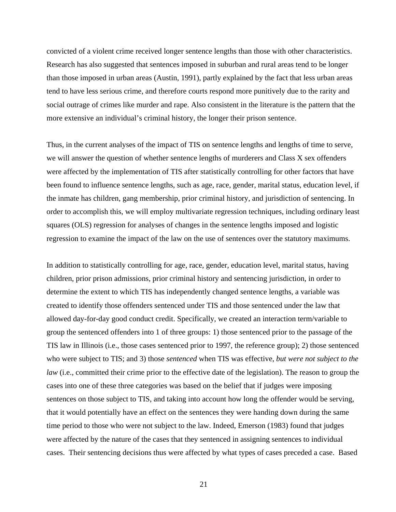convicted of a violent crime received longer sentence lengths than those with other characteristics. Research has also suggested that sentences imposed in suburban and rural areas tend to be longer than those imposed in urban areas (Austin, 1991), partly explained by the fact that less urban areas tend to have less serious crime, and therefore courts respond more punitively due to the rarity and social outrage of crimes like murder and rape. Also consistent in the literature is the pattern that the more extensive an individual's criminal history, the longer their prison sentence.

Thus, in the current analyses of the impact of TIS on sentence lengths and lengths of time to serve, we will answer the question of whether sentence lengths of murderers and Class X sex offenders were affected by the implementation of TIS after statistically controlling for other factors that have been found to influence sentence lengths, such as age, race, gender, marital status, education level, if the inmate has children, gang membership, prior criminal history, and jurisdiction of sentencing. In order to accomplish this, we will employ multivariate regression techniques, including ordinary least squares (OLS) regression for analyses of changes in the sentence lengths imposed and logistic regression to examine the impact of the law on the use of sentences over the statutory maximums.

In addition to statistically controlling for age, race, gender, education level, marital status, having children, prior prison admissions, prior criminal history and sentencing jurisdiction, in order to determine the extent to which TIS has independently changed sentence lengths, a variable was created to identify those offenders sentenced under TIS and those sentenced under the law that allowed day-for-day good conduct credit. Specifically, we created an interaction term/variable to group the sentenced offenders into 1 of three groups: 1) those sentenced prior to the passage of the TIS law in Illinois (i.e., those cases sentenced prior to 1997, the reference group); 2) those sentenced who were subject to TIS; and 3) those *sentenced* when TIS was effective, *but were not subject to the law* (i.e., committed their crime prior to the effective date of the legislation). The reason to group the cases into one of these three categories was based on the belief that if judges were imposing sentences on those subject to TIS, and taking into account how long the offender would be serving, that it would potentially have an effect on the sentences they were handing down during the same time period to those who were not subject to the law. Indeed, Emerson (1983) found that judges were affected by the nature of the cases that they sentenced in assigning sentences to individual cases. Their sentencing decisions thus were affected by what types of cases preceded a case. Based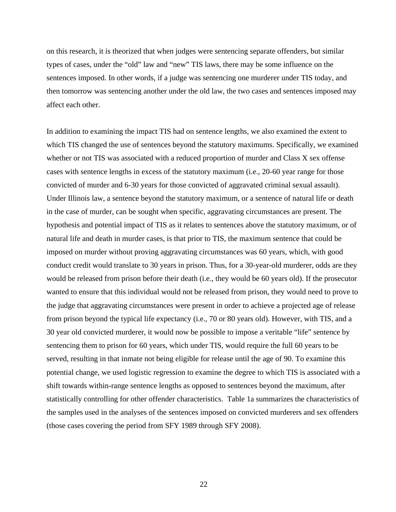on this research, it is theorized that when judges were sentencing separate offenders, but similar types of cases, under the "old" law and "new" TIS laws, there may be some influence on the sentences imposed. In other words, if a judge was sentencing one murderer under TIS today, and then tomorrow was sentencing another under the old law, the two cases and sentences imposed may affect each other.

In addition to examining the impact TIS had on sentence lengths, we also examined the extent to which TIS changed the use of sentences beyond the statutory maximums. Specifically, we examined whether or not TIS was associated with a reduced proportion of murder and Class X sex offense cases with sentence lengths in excess of the statutory maximum (i.e., 20-60 year range for those convicted of murder and 6-30 years for those convicted of aggravated criminal sexual assault). Under Illinois law, a sentence beyond the statutory maximum, or a sentence of natural life or death in the case of murder, can be sought when specific, aggravating circumstances are present. The hypothesis and potential impact of TIS as it relates to sentences above the statutory maximum, or of natural life and death in murder cases, is that prior to TIS, the maximum sentence that could be imposed on murder without proving aggravating circumstances was 60 years, which, with good conduct credit would translate to 30 years in prison. Thus, for a 30-year-old murderer, odds are they would be released from prison before their death (i.e., they would be 60 years old). If the prosecutor wanted to ensure that this individual would not be released from prison, they would need to prove to the judge that aggravating circumstances were present in order to achieve a projected age of release from prison beyond the typical life expectancy (i.e., 70 or 80 years old). However, with TIS, and a 30 year old convicted murderer, it would now be possible to impose a veritable "life" sentence by sentencing them to prison for 60 years, which under TIS, would require the full 60 years to be served, resulting in that inmate not being eligible for release until the age of 90. To examine this potential change, we used logistic regression to examine the degree to which TIS is associated with a shift towards within-range sentence lengths as opposed to sentences beyond the maximum, after statistically controlling for other offender characteristics. Table 1a summarizes the characteristics of the samples used in the analyses of the sentences imposed on convicted murderers and sex offenders (those cases covering the period from SFY 1989 through SFY 2008).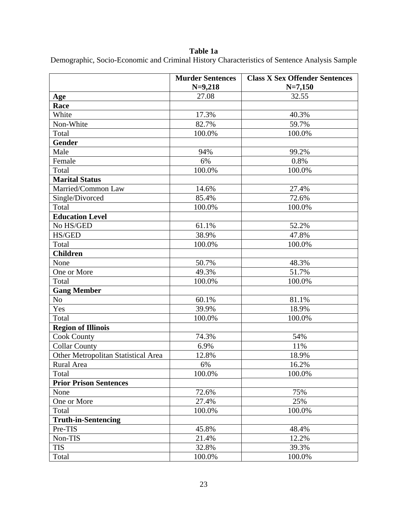**Table 1a** 

Demographic, Socio-Economic and Criminal History Characteristics of Sentence Analysis Sample

|                                     | <b>Murder Sentences</b><br>$N=9,218$ | <b>Class X Sex Offender Sentences</b><br>$N=7,150$ |
|-------------------------------------|--------------------------------------|----------------------------------------------------|
| Age                                 | 27.08                                | 32.55                                              |
| Race                                |                                      |                                                    |
| White                               | 17.3%                                | 40.3%                                              |
| Non-White                           | 82.7%                                | 59.7%                                              |
| Total                               | 100.0%                               | 100.0%                                             |
| <b>Gender</b>                       |                                      |                                                    |
| Male                                | 94%                                  | 99.2%                                              |
| Female                              | 6%                                   | 0.8%                                               |
| Total                               | 100.0%                               | 100.0%                                             |
| <b>Marital Status</b>               |                                      |                                                    |
| Married/Common Law                  | 14.6%                                | 27.4%                                              |
| Single/Divorced                     | 85.4%                                | 72.6%                                              |
| Total                               | 100.0%                               | 100.0%                                             |
| <b>Education Level</b>              |                                      |                                                    |
| No HS/GED                           | 61.1%                                | 52.2%                                              |
| HS/GED                              | 38.9%                                | 47.8%                                              |
| Total                               | 100.0%                               | 100.0%                                             |
| <b>Children</b>                     |                                      |                                                    |
| None                                | 50.7%                                | 48.3%                                              |
| One or More                         | 49.3%                                | 51.7%                                              |
| Total                               | 100.0%                               | 100.0%                                             |
| <b>Gang Member</b>                  |                                      |                                                    |
| No                                  | 60.1%                                | 81.1%                                              |
| Yes                                 | 39.9%                                | 18.9%                                              |
| Total                               | 100.0%                               | 100.0%                                             |
| <b>Region of Illinois</b>           |                                      |                                                    |
| <b>Cook County</b>                  | 74.3%                                | 54%                                                |
| <b>Collar County</b>                | 6.9%                                 | 11%                                                |
| Other Metropolitan Statistical Area | 12.8%                                | 18.9%                                              |
| Rural Area                          | 6%                                   | 16.2%                                              |
| Total                               | 100.0%                               | 100.0%                                             |
| <b>Prior Prison Sentences</b>       |                                      |                                                    |
| None                                | 72.6%                                | 75%                                                |
| One or More                         | 27.4%                                | 25%                                                |
| Total                               | 100.0%                               | 100.0%                                             |
| <b>Truth-in-Sentencing</b>          |                                      |                                                    |
| Pre-TIS                             | 45.8%                                | 48.4%                                              |
| Non-TIS                             | 21.4%                                | 12.2%                                              |
| <b>TIS</b>                          | 32.8%                                | 39.3%                                              |
| Total                               | 100.0%                               | 100.0%                                             |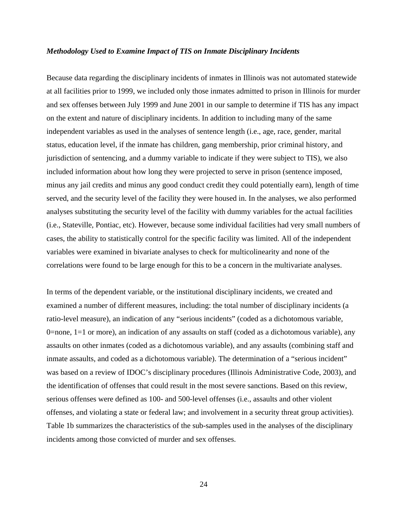#### *Methodology Used to Examine Impact of TIS on Inmate Disciplinary Incidents*

Because data regarding the disciplinary incidents of inmates in Illinois was not automated statewide at all facilities prior to 1999, we included only those inmates admitted to prison in Illinois for murder and sex offenses between July 1999 and June 2001 in our sample to determine if TIS has any impact on the extent and nature of disciplinary incidents. In addition to including many of the same independent variables as used in the analyses of sentence length (i.e., age, race, gender, marital status, education level, if the inmate has children, gang membership, prior criminal history, and jurisdiction of sentencing, and a dummy variable to indicate if they were subject to TIS), we also included information about how long they were projected to serve in prison (sentence imposed, minus any jail credits and minus any good conduct credit they could potentially earn), length of time served, and the security level of the facility they were housed in. In the analyses, we also performed analyses substituting the security level of the facility with dummy variables for the actual facilities (i.e., Stateville, Pontiac, etc). However, because some individual facilities had very small numbers of cases, the ability to statistically control for the specific facility was limited. All of the independent variables were examined in bivariate analyses to check for multicolinearity and none of the correlations were found to be large enough for this to be a concern in the multivariate analyses.

In terms of the dependent variable, or the institutional disciplinary incidents, we created and examined a number of different measures, including: the total number of disciplinary incidents (a ratio-level measure), an indication of any "serious incidents" (coded as a dichotomous variable, 0=none, 1=1 or more), an indication of any assaults on staff (coded as a dichotomous variable), any assaults on other inmates (coded as a dichotomous variable), and any assaults (combining staff and inmate assaults, and coded as a dichotomous variable). The determination of a "serious incident" was based on a review of IDOC's disciplinary procedures (Illinois Administrative Code, 2003), and the identification of offenses that could result in the most severe sanctions. Based on this review, serious offenses were defined as 100- and 500-level offenses (i.e., assaults and other violent offenses, and violating a state or federal law; and involvement in a security threat group activities). Table 1b summarizes the characteristics of the sub-samples used in the analyses of the disciplinary incidents among those convicted of murder and sex offenses.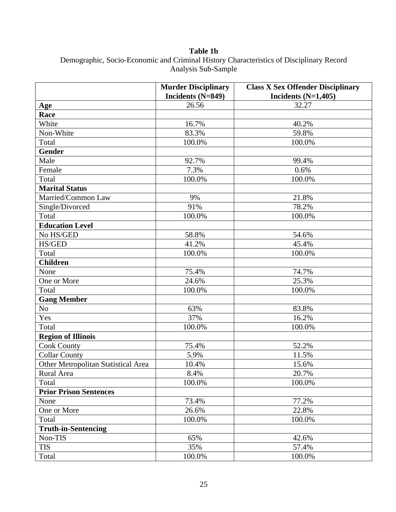**Table 1b**  Demographic, Socio-Economic and Criminal History Characteristics of Disciplinary Record Analysis Sub-Sample

|                                     | <b>Murder Disciplinary</b> | <b>Class X Sex Offender Disciplinary</b> |
|-------------------------------------|----------------------------|------------------------------------------|
|                                     | Incidents (N=849)          | Incidents $(N=1,405)$                    |
| Age                                 | 26.56                      | 32.27                                    |
| Race                                |                            |                                          |
| White                               | 16.7%                      | 40.2%                                    |
| Non-White                           | 83.3%                      | 59.8%                                    |
| Total                               | 100.0%                     | 100.0%                                   |
| <b>Gender</b>                       |                            |                                          |
| Male                                | 92.7%                      | 99.4%                                    |
| Female                              | 7.3%                       | 0.6%                                     |
| Total                               | 100.0%                     | 100.0%                                   |
| <b>Marital Status</b>               |                            |                                          |
| Married/Common Law                  | 9%                         | 21.8%                                    |
| Single/Divorced                     | 91%                        | 78.2%                                    |
| Total                               | 100.0%                     | 100.0%                                   |
| <b>Education Level</b>              |                            |                                          |
| No HS/GED                           | 58.8%                      | 54.6%                                    |
| HS/GED                              | 41.2%                      | 45.4%                                    |
| Total                               | 100.0%                     | 100.0%                                   |
| <b>Children</b>                     |                            |                                          |
| None                                | 75.4%                      | 74.7%                                    |
| One or More                         | 24.6%                      | 25.3%                                    |
| Total                               | 100.0%                     | 100.0%                                   |
| <b>Gang Member</b>                  |                            |                                          |
| No                                  | 63%                        | 83.8%                                    |
| Yes                                 | 37%                        | 16.2%                                    |
| Total                               | 100.0%                     | 100.0%                                   |
| <b>Region of Illinois</b>           |                            |                                          |
| <b>Cook County</b>                  | 75.4%                      | 52.2%                                    |
| <b>Collar County</b>                | 5.9%                       | 11.5%                                    |
| Other Metropolitan Statistical Area | 10.4%                      | 15.6%                                    |
| Rural Area                          | 8.4%                       | 20.7%                                    |
| Total                               | 100.0%                     | 100.0%                                   |
| <b>Prior Prison Sentences</b>       |                            |                                          |
| None                                | 73.4%                      | 77.2%                                    |
| One or More                         | 26.6%                      | 22.8%                                    |
| Total                               | 100.0%                     | 100.0%                                   |
| <b>Truth-in-Sentencing</b>          |                            |                                          |
| Non-TIS                             | 65%                        | 42.6%                                    |
| <b>TIS</b>                          | 35%                        | 57.4%                                    |
| Total                               | 100.0%                     | 100.0%                                   |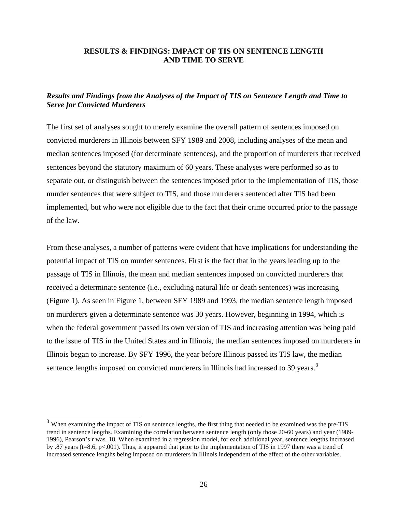### **RESULTS & FINDINGS: IMPACT OF TIS ON SENTENCE LENGTH AND TIME TO SERVE**

### *Results and Findings from the Analyses of the Impact of TIS on Sentence Length and Time to Serve for Convicted Murderers*

The first set of analyses sought to merely examine the overall pattern of sentences imposed on convicted murderers in Illinois between SFY 1989 and 2008, including analyses of the mean and median sentences imposed (for determinate sentences), and the proportion of murderers that received sentences beyond the statutory maximum of 60 years. These analyses were performed so as to separate out, or distinguish between the sentences imposed prior to the implementation of TIS, those murder sentences that were subject to TIS, and those murderers sentenced after TIS had been implemented, but who were not eligible due to the fact that their crime occurred prior to the passage of the law.

From these analyses, a number of patterns were evident that have implications for understanding the potential impact of TIS on murder sentences. First is the fact that in the years leading up to the passage of TIS in Illinois, the mean and median sentences imposed on convicted murderers that received a determinate sentence (i.e., excluding natural life or death sentences) was increasing (Figure 1). As seen in Figure 1, between SFY 1989 and 1993, the median sentence length imposed on murderers given a determinate sentence was 30 years. However, beginning in 1994, which is when the federal government passed its own version of TIS and increasing attention was being paid to the issue of TIS in the United States and in Illinois, the median sentences imposed on murderers in Illinois began to increase. By SFY 1996, the year before Illinois passed its TIS law, the median sentence lengths imposed on convicted murderers in Illinois had increased to [3](#page-25-0)9 years.<sup>3</sup>

<span id="page-25-0"></span> $3$  When examining the impact of TIS on sentence lengths, the first thing that needed to be examined was the pre-TIS trend in sentence lengths. Examining the correlation between sentence length (only those 20-60 years) and year (1989- 1996), Pearson's r was .18. When examined in a regression model, for each additional year, sentence lengths increased by .87 years (t=8.6, p<.001). Thus, it appeared that prior to the implementation of TIS in 1997 there was a trend of increased sentence lengths being imposed on murderers in Illinois independent of the effect of the other variables.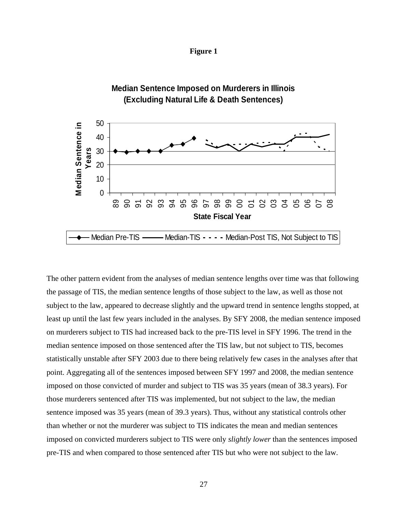



The other pattern evident from the analyses of median sentence lengths over time was that following the passage of TIS, the median sentence lengths of those subject to the law, as well as those not subject to the law, appeared to decrease slightly and the upward trend in sentence lengths stopped, at least up until the last few years included in the analyses. By SFY 2008, the median sentence imposed on murderers subject to TIS had increased back to the pre-TIS level in SFY 1996. The trend in the median sentence imposed on those sentenced after the TIS law, but not subject to TIS, becomes statistically unstable after SFY 2003 due to there being relatively few cases in the analyses after that point. Aggregating all of the sentences imposed between SFY 1997 and 2008, the median sentence imposed on those convicted of murder and subject to TIS was 35 years (mean of 38.3 years). For those murderers sentenced after TIS was implemented, but not subject to the law, the median sentence imposed was 35 years (mean of 39.3 years). Thus, without any statistical controls other than whether or not the murderer was subject to TIS indicates the mean and median sentences imposed on convicted murderers subject to TIS were only *slightly lower* than the sentences imposed pre-TIS and when compared to those sentenced after TIS but who were not subject to the law.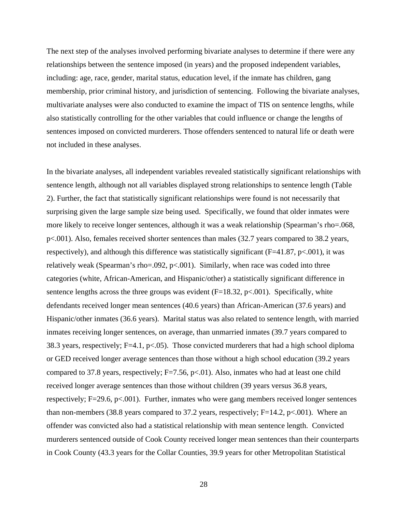The next step of the analyses involved performing bivariate analyses to determine if there were any relationships between the sentence imposed (in years) and the proposed independent variables, including: age, race, gender, marital status, education level, if the inmate has children, gang membership, prior criminal history, and jurisdiction of sentencing. Following the bivariate analyses, multivariate analyses were also conducted to examine the impact of TIS on sentence lengths, while also statistically controlling for the other variables that could influence or change the lengths of sentences imposed on convicted murderers. Those offenders sentenced to natural life or death were not included in these analyses.

In the bivariate analyses, all independent variables revealed statistically significant relationships with sentence length, although not all variables displayed strong relationships to sentence length (Table 2). Further, the fact that statistically significant relationships were found is not necessarily that surprising given the large sample size being used. Specifically, we found that older inmates were more likely to receive longer sentences, although it was a weak relationship (Spearman's rho=.068, p<.001). Also, females received shorter sentences than males (32.7 years compared to 38.2 years, respectively), and although this difference was statistically significant ( $F=41.87$ ,  $p<.001$ ), it was relatively weak (Spearman's rho=.092,  $p<0.001$ ). Similarly, when race was coded into three categories (white, African-American, and Hispanic/other) a statistically significant difference in sentence lengths across the three groups was evident  $(F=18.32, p<.001)$ . Specifically, white defendants received longer mean sentences (40.6 years) than African-American (37.6 years) and Hispanic/other inmates (36.6 years). Marital status was also related to sentence length, with married inmates receiving longer sentences, on average, than unmarried inmates (39.7 years compared to 38.3 years, respectively;  $F=4.1$ ,  $p<.05$ ). Those convicted murderers that had a high school diploma or GED received longer average sentences than those without a high school education (39.2 years compared to 37.8 years, respectively;  $F=7.56$ ,  $p<0.01$ ). Also, inmates who had at least one child received longer average sentences than those without children (39 years versus 36.8 years, respectively; F=29.6, p<.001). Further, inmates who were gang members received longer sentences than non-members (38.8 years compared to 37.2 years, respectively;  $F=14.2$ ,  $p<-0.001$ ). Where an offender was convicted also had a statistical relationship with mean sentence length. Convicted murderers sentenced outside of Cook County received longer mean sentences than their counterparts in Cook County (43.3 years for the Collar Counties, 39.9 years for other Metropolitan Statistical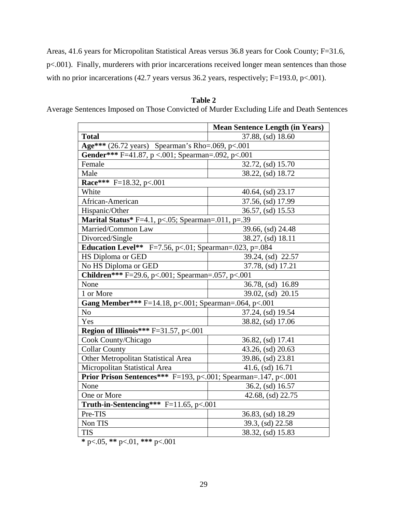Areas, 41.6 years for Micropolitan Statistical Areas versus 36.8 years for Cook County; F=31.6, p<.001). Finally, murderers with prior incarcerations received longer mean sentences than those with no prior incarcerations (42.7 years versus 36.2 years, respectively; F=193.0, p<.001).

### **Table 2**

Average Sentences Imposed on Those Convicted of Murder Excluding Life and Death Sentences

|                                                                | <b>Mean Sentence Length (in Years)</b> |  |  |
|----------------------------------------------------------------|----------------------------------------|--|--|
| <b>Total</b>                                                   | 37.88, (sd) 18.60                      |  |  |
| Age*** (26.72 years) Spearman's Rho=.069, p<.001               |                                        |  |  |
| Gender*** F=41.87, p <.001; Spearman=.092, p<.001              |                                        |  |  |
| Female                                                         | 32.72, (sd) 15.70                      |  |  |
| Male                                                           | 38.22, (sd) 18.72                      |  |  |
| Race*** F=18.32, p<.001                                        |                                        |  |  |
| White                                                          | 40.64, (sd) 23.17                      |  |  |
| African-American                                               | 37.56, (sd) 17.99                      |  |  |
| Hispanic/Other                                                 | 36.57, (sd) 15.53                      |  |  |
| <b>Marital Status</b> * F=4.1, p<.05; Spearman=.011, p=.39     |                                        |  |  |
| Married/Common Law                                             | 39.66, (sd) 24.48                      |  |  |
| Divorced/Single                                                | 38.27, (sd) 18.11                      |  |  |
| <b>Education Level**</b> F=7.56, p<.01; Spearman=.023, p=.084  |                                        |  |  |
| HS Diploma or GED                                              | 39.24, (sd) 22.57                      |  |  |
| No HS Diploma or GED                                           | 37.78, (sd) 17.21                      |  |  |
| Children*** F=29.6, p<.001; Spearman=.057, p<.001              |                                        |  |  |
| None                                                           | 36.78, (sd) 16.89                      |  |  |
| 1 or More                                                      | 39.02, (sd) 20.15                      |  |  |
| Gang Member*** F=14.18, p<.001; Spearman=.064, p<.001          |                                        |  |  |
| No                                                             | 37.24, (sd) 19.54                      |  |  |
| Yes                                                            | 38.82, (sd) 17.06                      |  |  |
| <b>Region of Illinois***</b> $F=31.57$ , $p<.001$              |                                        |  |  |
| Cook County/Chicago                                            | 36.82, (sd) 17.41                      |  |  |
| <b>Collar County</b>                                           | 43.26, (sd) 20.63                      |  |  |
| Other Metropolitan Statistical Area                            | 39.86, (sd) 23.81                      |  |  |
| Micropolitan Statistical Area                                  | 41.6, (sd) 16.71                       |  |  |
| Prior Prison Sentences*** F=193, p<.001; Spearman=.147, p<.001 |                                        |  |  |
| None                                                           | 36.2, (sd) 16.57                       |  |  |
| One or More                                                    | 42.68, (sd) 22.75                      |  |  |
| Truth-in-Sentencing*** $F=11.65$ , p<.001                      |                                        |  |  |
| Pre-TIS                                                        | 36.83, (sd) 18.29                      |  |  |
| Non TIS                                                        | 39.3, (sd) 22.58                       |  |  |
| <b>TIS</b>                                                     | 38.32, (sd) 15.83                      |  |  |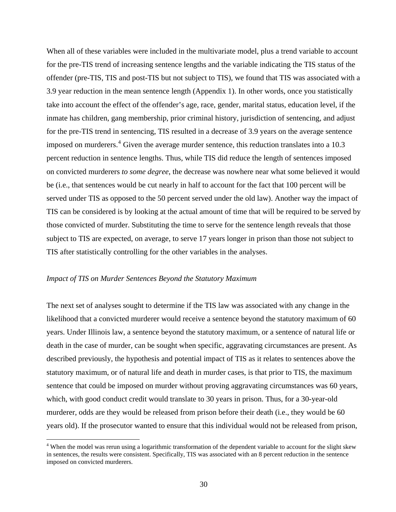When all of these variables were included in the multivariate model, plus a trend variable to account for the pre-TIS trend of increasing sentence lengths and the variable indicating the TIS status of the offender (pre-TIS, TIS and post-TIS but not subject to TIS), we found that TIS was associated with a 3.9 year reduction in the mean sentence length (Appendix 1). In other words, once you statistically take into account the effect of the offender's age, race, gender, marital status, education level, if the inmate has children, gang membership, prior criminal history, jurisdiction of sentencing, and adjust for the pre-TIS trend in sentencing, TIS resulted in a decrease of 3.9 years on the average sentence imposed on murderers.<sup>[4](#page-29-0)</sup> Given the average murder sentence, this reduction translates into a 10.3 percent reduction in sentence lengths. Thus, while TIS did reduce the length of sentences imposed on convicted murderers *to some degree*, the decrease was nowhere near what some believed it would be (i.e., that sentences would be cut nearly in half to account for the fact that 100 percent will be served under TIS as opposed to the 50 percent served under the old law). Another way the impact of TIS can be considered is by looking at the actual amount of time that will be required to be served by those convicted of murder. Substituting the time to serve for the sentence length reveals that those subject to TIS are expected, on average, to serve 17 years longer in prison than those not subject to TIS after statistically controlling for the other variables in the analyses.

### *Impact of TIS on Murder Sentences Beyond the Statutory Maximum*

 $\overline{a}$ 

The next set of analyses sought to determine if the TIS law was associated with any change in the likelihood that a convicted murderer would receive a sentence beyond the statutory maximum of 60 years. Under Illinois law, a sentence beyond the statutory maximum, or a sentence of natural life or death in the case of murder, can be sought when specific, aggravating circumstances are present. As described previously, the hypothesis and potential impact of TIS as it relates to sentences above the statutory maximum, or of natural life and death in murder cases, is that prior to TIS, the maximum sentence that could be imposed on murder without proving aggravating circumstances was 60 years, which, with good conduct credit would translate to 30 years in prison. Thus, for a 30-year-old murderer, odds are they would be released from prison before their death (i.e., they would be 60 years old). If the prosecutor wanted to ensure that this individual would not be released from prison,

<span id="page-29-0"></span><sup>&</sup>lt;sup>4</sup> When the model was rerun using a logarithmic transformation of the dependent variable to account for the slight skew in sentences, the results were consistent. Specifically, TIS was associated with an 8 percent reduction in the sentence imposed on convicted murderers.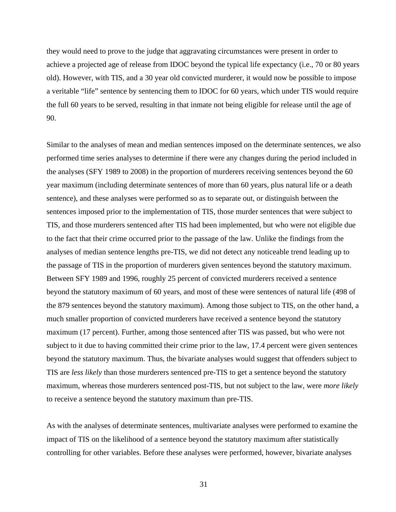they would need to prove to the judge that aggravating circumstances were present in order to achieve a projected age of release from IDOC beyond the typical life expectancy (i.e., 70 or 80 years old). However, with TIS, and a 30 year old convicted murderer, it would now be possible to impose a veritable "life" sentence by sentencing them to IDOC for 60 years, which under TIS would require the full 60 years to be served, resulting in that inmate not being eligible for release until the age of 90.

Similar to the analyses of mean and median sentences imposed on the determinate sentences, we also performed time series analyses to determine if there were any changes during the period included in the analyses (SFY 1989 to 2008) in the proportion of murderers receiving sentences beyond the 60 year maximum (including determinate sentences of more than 60 years, plus natural life or a death sentence), and these analyses were performed so as to separate out, or distinguish between the sentences imposed prior to the implementation of TIS, those murder sentences that were subject to TIS, and those murderers sentenced after TIS had been implemented, but who were not eligible due to the fact that their crime occurred prior to the passage of the law. Unlike the findings from the analyses of median sentence lengths pre-TIS, we did not detect any noticeable trend leading up to the passage of TIS in the proportion of murderers given sentences beyond the statutory maximum. Between SFY 1989 and 1996, roughly 25 percent of convicted murderers received a sentence beyond the statutory maximum of 60 years, and most of these were sentences of natural life (498 of the 879 sentences beyond the statutory maximum). Among those subject to TIS, on the other hand, a much smaller proportion of convicted murderers have received a sentence beyond the statutory maximum (17 percent). Further, among those sentenced after TIS was passed, but who were not subject to it due to having committed their crime prior to the law, 17.4 percent were given sentences beyond the statutory maximum. Thus, the bivariate analyses would suggest that offenders subject to TIS are *less likely* than those murderers sentenced pre-TIS to get a sentence beyond the statutory maximum, whereas those murderers sentenced post-TIS, but not subject to the law, were *more likely* to receive a sentence beyond the statutory maximum than pre-TIS.

As with the analyses of determinate sentences, multivariate analyses were performed to examine the impact of TIS on the likelihood of a sentence beyond the statutory maximum after statistically controlling for other variables. Before these analyses were performed, however, bivariate analyses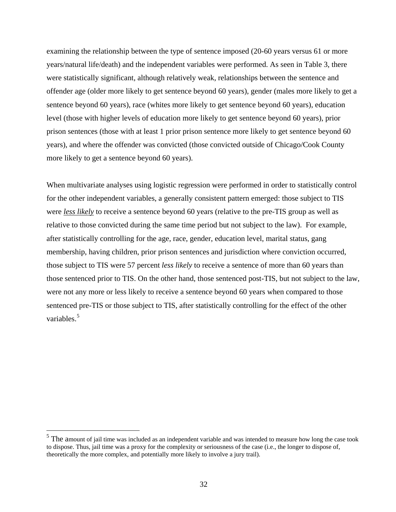examining the relationship between the type of sentence imposed (20-60 years versus 61 or more years/natural life/death) and the independent variables were performed. As seen in Table 3, there were statistically significant, although relatively weak, relationships between the sentence and offender age (older more likely to get sentence beyond 60 years), gender (males more likely to get a sentence beyond 60 years), race (whites more likely to get sentence beyond 60 years), education level (those with higher levels of education more likely to get sentence beyond 60 years), prior prison sentences (those with at least 1 prior prison sentence more likely to get sentence beyond 60 years), and where the offender was convicted (those convicted outside of Chicago/Cook County more likely to get a sentence beyond 60 years).

When multivariate analyses using logistic regression were performed in order to statistically control for the other independent variables, a generally consistent pattern emerged: those subject to TIS were *less likely* to receive a sentence beyond 60 years (relative to the pre-TIS group as well as relative to those convicted during the same time period but not subject to the law). For example, after statistically controlling for the age, race, gender, education level, marital status, gang membership, having children, prior prison sentences and jurisdiction where conviction occurred, those subject to TIS were 57 percent *less likely* to receive a sentence of more than 60 years than those sentenced prior to TIS. On the other hand, those sentenced post-TIS, but not subject to the law, were not any more or less likely to receive a sentence beyond 60 years when compared to those sentenced pre-TIS or those subject to TIS, after statistically controlling for the effect of the other variables.<sup>[5](#page-31-0)</sup>

 $\overline{a}$ 

<span id="page-31-0"></span> $<sup>5</sup>$  The amount of jail time was included as an independent variable and was intended to measure how long the case took</sup> to dispose. Thus, jail time was a proxy for the complexity or seriousness of the case (i.e., the longer to dispose of, theoretically the more complex, and potentially more likely to involve a jury trail).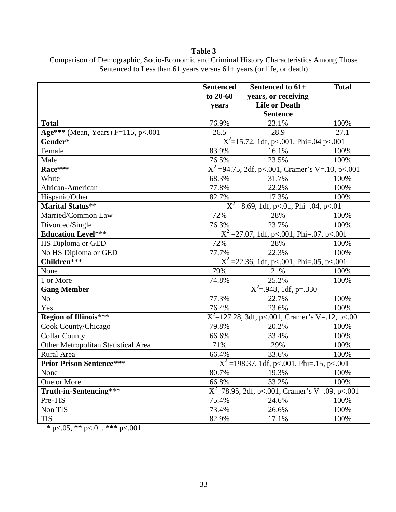### **Table 3**

|                                     | <b>Sentenced</b>                                  | Sentenced to 61+                                              | <b>Total</b> |
|-------------------------------------|---------------------------------------------------|---------------------------------------------------------------|--------------|
|                                     | to $20-60$                                        | years, or receiving                                           |              |
|                                     | years                                             | <b>Life or Death</b>                                          |              |
|                                     |                                                   | <b>Sentence</b>                                               |              |
| <b>Total</b>                        | 76.9%                                             | 23.1%                                                         | 100%         |
| Age*** (Mean, Years) F=115, p<.001  | 26.5                                              | 28.9                                                          | 27.1         |
| Gender*                             |                                                   | $X^2$ =15.72, 1df, p<.001, Phi=.04 p<.001                     |              |
| Female                              | 83.9%                                             | 16.1%                                                         | 100%         |
| Male                                | 76.5%                                             | 23.5%                                                         | 100%         |
| Race***                             |                                                   | $\overline{X^2}$ =94.75, 2df, p<.001, Cramer's V=.10, p<.001  |              |
| White                               | 68.3%                                             | 31.7%                                                         | 100%         |
| African-American                    | 77.8%                                             | 22.2%                                                         | 100%         |
| Hispanic/Other                      | 82.7%                                             | 17.3%                                                         | 100%         |
| Marital Status**                    |                                                   | $\overline{X^2}$ =8.69, 1df, p<.01, Phi=.04, p<.01            |              |
| Married/Common Law                  | 72%                                               | 28%                                                           | 100%         |
| Divorced/Single                     | 76.3%                                             | 23.7%                                                         | 100%         |
| <b>Education Level***</b>           |                                                   | $X^2 = 27.07$ , 1df, p<.001, Phi=.07, p<.001                  |              |
| <b>HS Diploma or GED</b>            | 72%                                               | 28%                                                           | 100%         |
| No HS Diploma or GED                | 77.7%                                             | 22.3%                                                         | 100%         |
| Children***                         |                                                   | $X^2 = 22.36$ , 1df, p<.001, Phi=.05, p<.001                  |              |
| None                                | 79%                                               | 21%                                                           | 100%         |
| 1 or More                           | 74.8%                                             | 25.2%                                                         | 100%         |
| <b>Gang Member</b>                  |                                                   | $\overline{X^2}$ =.948, 1df, p=.330                           |              |
| N <sub>o</sub>                      | 77.3%                                             | 22.7%                                                         | 100%         |
| Yes                                 | 76.4%                                             | 23.6%                                                         | 100%         |
| <b>Region of Illinois***</b>        |                                                   | $\overline{X^2}$ =127.28, 3df, p<.001, Cramer's V=.12, p<.001 |              |
| Cook County/Chicago                 | 79.8%                                             | 20.2%                                                         | 100%         |
| <b>Collar County</b>                | 66.6%                                             | 33.4%                                                         | 100%         |
| Other Metropolitan Statistical Area | 71%                                               | 29%                                                           | 100%         |
| Rural Area                          | 66.4%                                             | 33.6%                                                         | 100%         |
| <b>Prior Prison Sentence***</b>     | $X^2 = 198.37$ , 1df, p<.001, Phi=.15, p<.001     |                                                               |              |
| None                                | 80.7%<br>19.3%                                    |                                                               | 100%         |
| One or More                         | 66.8%                                             | 33.2%                                                         | 100%         |
| Truth-in-Sentencing***              | $X^2$ =78.95, 2df, p<.001, Cramer's V=.09, p<.001 |                                                               |              |
| Pre-TIS                             | 75.4%                                             | 24.6%                                                         | 100%         |
| Non TIS                             | 73.4%                                             | 26.6%                                                         | 100%         |
| <b>TIS</b>                          | 82.9%                                             | 17.1%                                                         | 100%         |

### Comparison of Demographic, Socio-Economic and Criminal History Characteristics Among Those Sentenced to Less than 61 years versus 61+ years (or life, or death)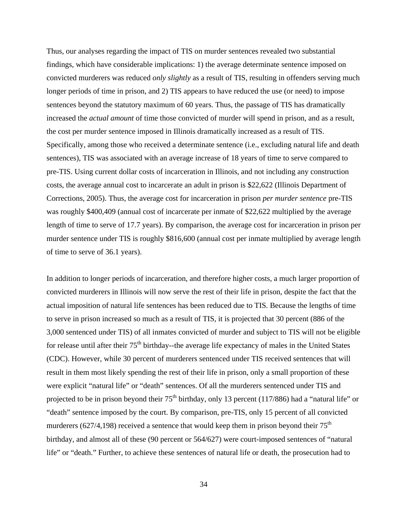Thus, our analyses regarding the impact of TIS on murder sentences revealed two substantial findings, which have considerable implications: 1) the average determinate sentence imposed on convicted murderers was reduced *only slightly* as a result of TIS, resulting in offenders serving much longer periods of time in prison, and 2) TIS appears to have reduced the use (or need) to impose sentences beyond the statutory maximum of 60 years. Thus, the passage of TIS has dramatically increased the *actual amount* of time those convicted of murder will spend in prison, and as a result, the cost per murder sentence imposed in Illinois dramatically increased as a result of TIS. Specifically, among those who received a determinate sentence (i.e., excluding natural life and death sentences), TIS was associated with an average increase of 18 years of time to serve compared to pre-TIS. Using current dollar costs of incarceration in Illinois, and not including any construction costs, the average annual cost to incarcerate an adult in prison is \$22,622 (Illinois Department of Corrections, 2005). Thus, the average cost for incarceration in prison *per murder sentence* pre-TIS was roughly \$400,409 (annual cost of incarcerate per inmate of \$22,622 multiplied by the average length of time to serve of 17.7 years). By comparison, the average cost for incarceration in prison per murder sentence under TIS is roughly \$816,600 (annual cost per inmate multiplied by average length of time to serve of 36.1 years).

In addition to longer periods of incarceration, and therefore higher costs, a much larger proportion of convicted murderers in Illinois will now serve the rest of their life in prison, despite the fact that the actual imposition of natural life sentences has been reduced due to TIS. Because the lengths of time to serve in prison increased so much as a result of TIS, it is projected that 30 percent (886 of the 3,000 sentenced under TIS) of all inmates convicted of murder and subject to TIS will not be eligible for release until after their  $75<sup>th</sup>$  birthday--the average life expectancy of males in the United States (CDC). However, while 30 percent of murderers sentenced under TIS received sentences that will result in them most likely spending the rest of their life in prison, only a small proportion of these were explicit "natural life" or "death" sentences. Of all the murderers sentenced under TIS and projected to be in prison beyond their  $75<sup>th</sup>$  birthday, only 13 percent (117/886) had a "natural life" or "death" sentence imposed by the court. By comparison, pre-TIS, only 15 percent of all convicted murderers (627/4,198) received a sentence that would keep them in prison beyond their  $75<sup>th</sup>$ birthday, and almost all of these (90 percent or 564/627) were court-imposed sentences of "natural life" or "death." Further, to achieve these sentences of natural life or death, the prosecution had to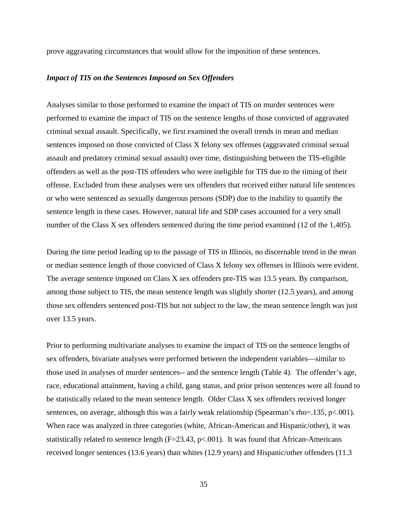prove aggravating circumstances that would allow for the imposition of these sentences.

#### *Impact of TIS on the Sentences Imposed on Sex Offenders*

Analyses similar to those performed to examine the impact of TIS on murder sentences were performed to examine the impact of TIS on the sentence lengths of those convicted of aggravated criminal sexual assault. Specifically, we first examined the overall trends in mean and median sentences imposed on those convicted of Class X felony sex offenses (aggravated criminal sexual assault and predatory criminal sexual assault) over time, distinguishing between the TIS-eligible offenders as well as the post-TIS offenders who were ineligible for TIS due to the timing of their offense. Excluded from these analyses were sex offenders that received either natural life sentences or who were sentenced as sexually dangerous persons (SDP) due to the inability to quantify the sentence length in these cases. However, natural life and SDP cases accounted for a very small number of the Class X sex offenders sentenced during the time period examined (12 of the 1,405).

During the time period leading up to the passage of TIS in Illinois, no discernable trend in the mean or median sentence length of those convicted of Class X felony sex offenses in Illinois were evident. The average sentence imposed on Class X sex offenders pre-TIS was 13.5 years. By comparison, among those subject to TIS, the mean sentence length was slightly shorter (12.5 years), and among those sex offenders sentenced post-TIS but not subject to the law, the mean sentence length was just over 13.5 years.

Prior to performing multivariate analyses to examine the impact of TIS on the sentence lengths of sex offenders, bivariate analyses were performed between the independent variables—similar to those used in analyses of murder sentences-- and the sentence length (Table 4). The offender's age, race, educational attainment, having a child, gang status, and prior prison sentences were all found to be statistically related to the mean sentence length. Older Class X sex offenders received longer sentences, on average, although this was a fairly weak relationship (Spearman's rho=.135, p<.001). When race was analyzed in three categories (white, African-American and Hispanic/other), it was statistically related to sentence length ( $F=23.43$ ,  $p<.001$ ). It was found that African-Americans received longer sentences (13.6 years) than whites (12.9 years) and Hispanic/other offenders (11.3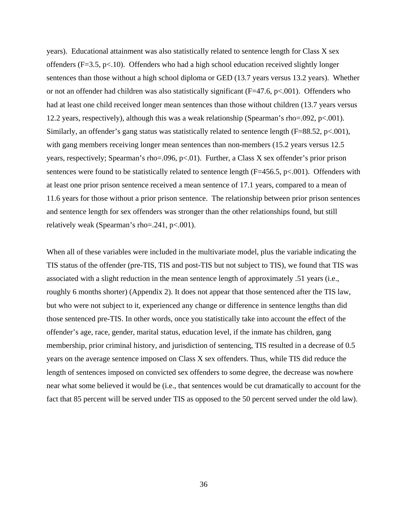years). Educational attainment was also statistically related to sentence length for Class X sex offenders (F=3.5, p<.10). Offenders who had a high school education received slightly longer sentences than those without a high school diploma or GED (13.7 years versus 13.2 years). Whether or not an offender had children was also statistically significant (F=47.6, p<.001). Offenders who had at least one child received longer mean sentences than those without children (13.7 years versus 12.2 years, respectively), although this was a weak relationship (Spearman's rho=.092, p<.001). Similarly, an offender's gang status was statistically related to sentence length (F=88.52, p<.001), with gang members receiving longer mean sentences than non-members (15.2 years versus 12.5) years, respectively; Spearman's rho=.096,  $p<0$ 1). Further, a Class X sex offender's prior prison sentences were found to be statistically related to sentence length  $(F=456.5, p<.001)$ . Offenders with at least one prior prison sentence received a mean sentence of 17.1 years, compared to a mean of 11.6 years for those without a prior prison sentence. The relationship between prior prison sentences and sentence length for sex offenders was stronger than the other relationships found, but still relatively weak (Spearman's rho=.241, p<.001).

When all of these variables were included in the multivariate model, plus the variable indicating the TIS status of the offender (pre-TIS, TIS and post-TIS but not subject to TIS), we found that TIS was associated with a slight reduction in the mean sentence length of approximately .51 years (i.e., roughly 6 months shorter) (Appendix 2). It does not appear that those sentenced after the TIS law, but who were not subject to it, experienced any change or difference in sentence lengths than did those sentenced pre-TIS. In other words, once you statistically take into account the effect of the offender's age, race, gender, marital status, education level, if the inmate has children, gang membership, prior criminal history, and jurisdiction of sentencing, TIS resulted in a decrease of 0.5 years on the average sentence imposed on Class X sex offenders. Thus, while TIS did reduce the length of sentences imposed on convicted sex offenders to some degree, the decrease was nowhere near what some believed it would be (i.e., that sentences would be cut dramatically to account for the fact that 85 percent will be served under TIS as opposed to the 50 percent served under the old law).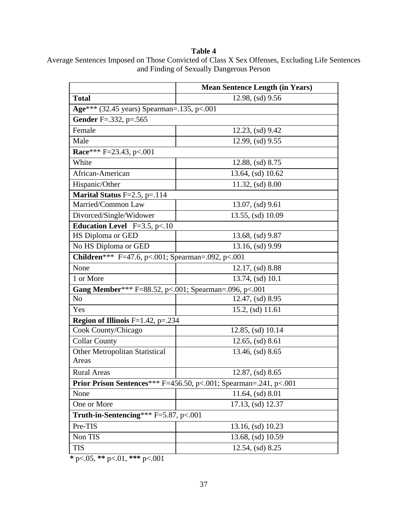### **Table 4**

|                                                               | <b>Mean Sentence Length (in Years)</b>                                    |  |
|---------------------------------------------------------------|---------------------------------------------------------------------------|--|
| <b>Total</b>                                                  | 12.98, (sd) 9.56                                                          |  |
| Age*** (32.45 years) Spearman=.135, p<.001                    |                                                                           |  |
| <b>Gender</b> F=.332, p=.565                                  |                                                                           |  |
| Female                                                        | 12.23, (sd) 9.42                                                          |  |
| Male                                                          | 12.99, (sd) 9.55                                                          |  |
| Race*** F=23.43, p<.001                                       |                                                                           |  |
| White                                                         | $12.88$ , (sd) $8.75$                                                     |  |
| African-American                                              | 13.64, (sd) 10.62                                                         |  |
| Hispanic/Other                                                | $11.32$ , (sd) $8.00$                                                     |  |
| Marital Status F=2.5, p=.114                                  |                                                                           |  |
| Married/Common Law                                            | 13.07, (sd) 9.61                                                          |  |
| Divorced/Single/Widower                                       | 13.55, (sd) 10.09                                                         |  |
| <b>Education Level</b> F=3.5, p<.10                           |                                                                           |  |
| HS Diploma or GED                                             | 13.68, (sd) 9.87                                                          |  |
| No HS Diploma or GED                                          | 13.16, (sd) 9.99                                                          |  |
| <b>Children</b> *** F=47.6, p<.001; Spearman=.092, p<.001     |                                                                           |  |
| None                                                          | $12.17$ , (sd) 8.88                                                       |  |
| 1 or More                                                     | 13.74, (sd) 10.1                                                          |  |
| <b>Gang Member</b> *** F=88.52, p<.001; Spearman=.096, p<.001 |                                                                           |  |
| N <sub>o</sub>                                                | $12.47$ , (sd) 8.95                                                       |  |
| Yes                                                           | 15.2, (sd) 11.61                                                          |  |
| <b>Region of Illinois</b> $F=1.42$ , $p=.234$                 |                                                                           |  |
| Cook County/Chicago                                           | 12.85, (sd) 10.14                                                         |  |
| <b>Collar County</b>                                          | $12.65$ , (sd) $8.61$                                                     |  |
| Other Metropolitan Statistical<br>Areas                       | 13.46, (sd) 8.65                                                          |  |
| Rural Areas                                                   | $12.87$ , (sd) $8.65$                                                     |  |
|                                                               | <b>Prior Prison Sentences</b> *** F=456.50, p<.001; Spearman=.241, p<.001 |  |
| None                                                          | 11.64, (sd) 8.01                                                          |  |
| One or More                                                   | 17.13, (sd) 12.37                                                         |  |
| Truth-in-Sentencing*** $F=5.87$ , p<.001                      |                                                                           |  |
| Pre-TIS                                                       | 13.16, (sd) 10.23                                                         |  |
| Non TIS                                                       | 13.68, (sd) 10.59                                                         |  |
| <b>TIS</b>                                                    | $12.54$ , (sd) $8.25$                                                     |  |

Average Sentences Imposed on Those Convicted of Class X Sex Offenses, Excluding Life Sentences and Finding of Sexually Dangerous Person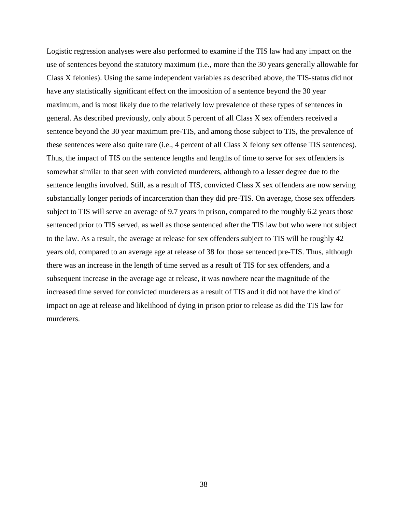Logistic regression analyses were also performed to examine if the TIS law had any impact on the use of sentences beyond the statutory maximum (i.e., more than the 30 years generally allowable for Class X felonies). Using the same independent variables as described above, the TIS-status did not have any statistically significant effect on the imposition of a sentence beyond the 30 year maximum, and is most likely due to the relatively low prevalence of these types of sentences in general. As described previously, only about 5 percent of all Class X sex offenders received a sentence beyond the 30 year maximum pre-TIS, and among those subject to TIS, the prevalence of these sentences were also quite rare (i.e., 4 percent of all Class X felony sex offense TIS sentences). Thus, the impact of TIS on the sentence lengths and lengths of time to serve for sex offenders is somewhat similar to that seen with convicted murderers, although to a lesser degree due to the sentence lengths involved. Still, as a result of TIS, convicted Class X sex offenders are now serving substantially longer periods of incarceration than they did pre-TIS. On average, those sex offenders subject to TIS will serve an average of 9.7 years in prison, compared to the roughly 6.2 years those sentenced prior to TIS served, as well as those sentenced after the TIS law but who were not subject to the law. As a result, the average at release for sex offenders subject to TIS will be roughly 42 years old, compared to an average age at release of 38 for those sentenced pre-TIS. Thus, although there was an increase in the length of time served as a result of TIS for sex offenders, and a subsequent increase in the average age at release, it was nowhere near the magnitude of the increased time served for convicted murderers as a result of TIS and it did not have the kind of impact on age at release and likelihood of dying in prison prior to release as did the TIS law for murderers.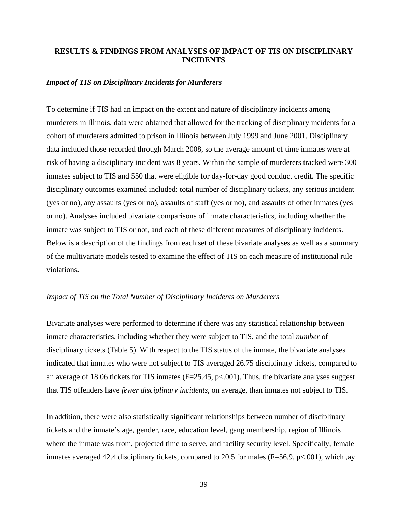### **RESULTS & FINDINGS FROM ANALYSES OF IMPACT OF TIS ON DISCIPLINARY INCIDENTS**

#### *Impact of TIS on Disciplinary Incidents for Murderers*

To determine if TIS had an impact on the extent and nature of disciplinary incidents among murderers in Illinois, data were obtained that allowed for the tracking of disciplinary incidents for a cohort of murderers admitted to prison in Illinois between July 1999 and June 2001. Disciplinary data included those recorded through March 2008, so the average amount of time inmates were at risk of having a disciplinary incident was 8 years. Within the sample of murderers tracked were 300 inmates subject to TIS and 550 that were eligible for day-for-day good conduct credit. The specific disciplinary outcomes examined included: total number of disciplinary tickets, any serious incident (yes or no), any assaults (yes or no), assaults of staff (yes or no), and assaults of other inmates (yes or no). Analyses included bivariate comparisons of inmate characteristics, including whether the inmate was subject to TIS or not, and each of these different measures of disciplinary incidents. Below is a description of the findings from each set of these bivariate analyses as well as a summary of the multivariate models tested to examine the effect of TIS on each measure of institutional rule violations.

#### *Impact of TIS on the Total Number of Disciplinary Incidents on Murderers*

Bivariate analyses were performed to determine if there was any statistical relationship between inmate characteristics, including whether they were subject to TIS, and the total *number* of disciplinary tickets (Table 5). With respect to the TIS status of the inmate, the bivariate analyses indicated that inmates who were not subject to TIS averaged 26.75 disciplinary tickets, compared to an average of 18.06 tickets for TIS inmates ( $F=25.45$ ,  $p<.001$ ). Thus, the bivariate analyses suggest that TIS offenders have *fewer disciplinary incidents*, on average, than inmates not subject to TIS.

In addition, there were also statistically significant relationships between number of disciplinary tickets and the inmate's age, gender, race, education level, gang membership, region of Illinois where the inmate was from, projected time to serve, and facility security level. Specifically, female inmates averaged 42.4 disciplinary tickets, compared to 20.5 for males (F=56.9, p<.001), which ,ay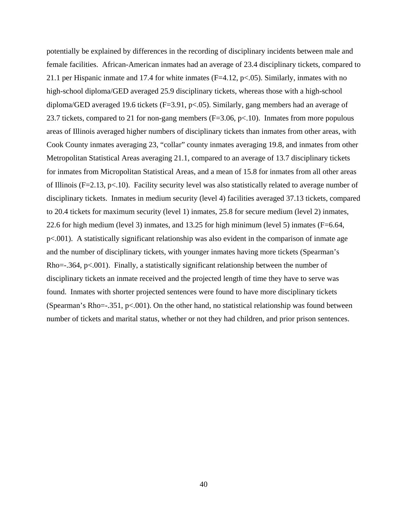potentially be explained by differences in the recording of disciplinary incidents between male and female facilities. African-American inmates had an average of 23.4 disciplinary tickets, compared to 21.1 per Hispanic inmate and 17.4 for white inmates ( $F=4.12$ ,  $p<.05$ ). Similarly, inmates with no high-school diploma/GED averaged 25.9 disciplinary tickets, whereas those with a high-school diploma/GED averaged 19.6 tickets (F=3.91, p<.05). Similarly, gang members had an average of 23.7 tickets, compared to 21 for non-gang members ( $F=3.06$ ,  $p<.10$ ). Inmates from more populous areas of Illinois averaged higher numbers of disciplinary tickets than inmates from other areas, with Cook County inmates averaging 23, "collar" county inmates averaging 19.8, and inmates from other Metropolitan Statistical Areas averaging 21.1, compared to an average of 13.7 disciplinary tickets for inmates from Micropolitan Statistical Areas, and a mean of 15.8 for inmates from all other areas of Illinois (F=2.13, p<.10). Facility security level was also statistically related to average number of disciplinary tickets. Inmates in medium security (level 4) facilities averaged 37.13 tickets, compared to 20.4 tickets for maximum security (level 1) inmates, 25.8 for secure medium (level 2) inmates, 22.6 for high medium (level 3) inmates, and 13.25 for high minimum (level 5) inmates (F=6.64, p<.001). A statistically significant relationship was also evident in the comparison of inmate age and the number of disciplinary tickets, with younger inmates having more tickets (Spearman's Rho=-.364, p<.001). Finally, a statistically significant relationship between the number of disciplinary tickets an inmate received and the projected length of time they have to serve was found. Inmates with shorter projected sentences were found to have more disciplinary tickets (Spearman's Rho=-.351, p<.001). On the other hand, no statistical relationship was found between number of tickets and marital status, whether or not they had children, and prior prison sentences.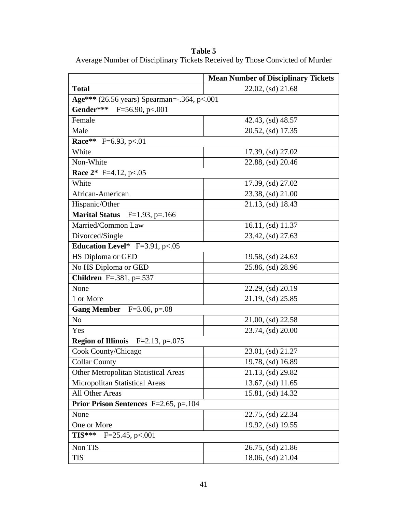**Table 5** 

Average Number of Disciplinary Tickets Received by Those Convicted of Murder

|                                                  | <b>Mean Number of Disciplinary Tickets</b> |  |  |
|--------------------------------------------------|--------------------------------------------|--|--|
| <b>Total</b>                                     | 22.02, (sd) 21.68                          |  |  |
| Age*** (26.56 years) Spearman= $-0.364$ , p<.001 |                                            |  |  |
| Gender*** F=56.90, p<.001                        |                                            |  |  |
| Female                                           | 42.43, (sd) 48.57                          |  |  |
| Male                                             | 20.52, (sd) 17.35                          |  |  |
| Race** F=6.93, p<.01                             |                                            |  |  |
| White                                            | 17.39, (sd) 27.02                          |  |  |
| Non-White                                        | 22.88, (sd) 20.46                          |  |  |
| <b>Race 2*</b> F=4.12, p<.05                     |                                            |  |  |
| White                                            | 17.39, (sd) 27.02                          |  |  |
| African-American                                 | 23.38, (sd) 21.00                          |  |  |
| Hispanic/Other                                   | 21.13, (sd) 18.43                          |  |  |
| <b>Marital Status</b> $F=1.93$ , $p=.166$        |                                            |  |  |
| Married/Common Law                               | 16.11, (sd) 11.37                          |  |  |
| Divorced/Single                                  | 23.42, (sd) 27.63                          |  |  |
| Education Level* $F=3.91$ , p<.05                |                                            |  |  |
| HS Diploma or GED                                | 19.58, (sd) 24.63                          |  |  |
| No HS Diploma or GED                             | 25.86, (sd) 28.96                          |  |  |
| <b>Children</b> F=.381, p=.537                   |                                            |  |  |
| None                                             | 22.29, (sd) 20.19                          |  |  |
| 1 or More                                        | 21.19, (sd) 25.85                          |  |  |
| Gang Member $F=3.06$ , p=.08                     |                                            |  |  |
| N <sub>o</sub>                                   | 21.00, (sd) 22.58                          |  |  |
| Yes                                              | 23.74, (sd) 20.00                          |  |  |
| <b>Region of Illinois</b> $F=2.13$ , $p=.075$    |                                            |  |  |
| Cook County/Chicago                              | 23.01, (sd) 21.27                          |  |  |
| <b>Collar County</b>                             | 19.78, (sd) 16.89                          |  |  |
| <b>Other Metropolitan Statistical Areas</b>      | 21.13, (sd) 29.82                          |  |  |
| Micropolitan Statistical Areas                   | 13.67, (sd) 11.65                          |  |  |
| All Other Areas                                  | 15.81, (sd) 14.32                          |  |  |
| <b>Prior Prison Sentences</b> F=2.65, p=.104     |                                            |  |  |
| None                                             | 22.75, (sd) 22.34                          |  |  |
| One or More                                      | 19.92, (sd) 19.55                          |  |  |
| TIS***<br>$F = 25.45$ , p<.001                   |                                            |  |  |
| Non TIS                                          | 26.75, (sd) 21.86                          |  |  |
| <b>TIS</b>                                       | 18.06, (sd) 21.04                          |  |  |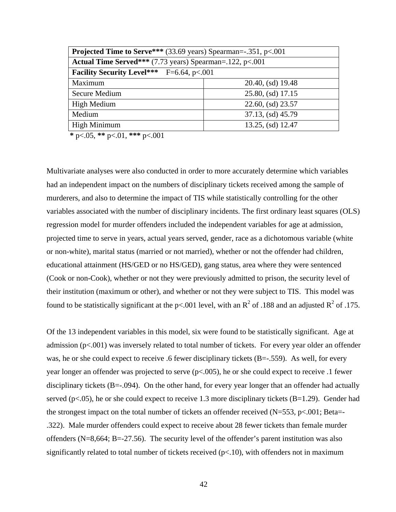| <b>Projected Time to Serve***</b> (33.69 years) Spearman= $-0.351$ , p<.001 |                   |  |  |
|-----------------------------------------------------------------------------|-------------------|--|--|
| Actual Time Served*** $(7.73 \text{ years})$ Spearman=.122, p<.001          |                   |  |  |
| <b>Facility Security Level***</b> F=6.64, p<.001                            |                   |  |  |
| Maximum                                                                     | 20.40, (sd) 19.48 |  |  |
| Secure Medium                                                               | 25.80, (sd) 17.15 |  |  |
| High Medium                                                                 | 22.60, (sd) 23.57 |  |  |
| Medium                                                                      | 37.13, (sd) 45.79 |  |  |
| High Minimum<br>13.25, (sd) 12.47                                           |                   |  |  |

**\*** p<.05, **\*\*** p<.01, **\*\*\*** p<.001

Multivariate analyses were also conducted in order to more accurately determine which variables had an independent impact on the numbers of disciplinary tickets received among the sample of murderers, and also to determine the impact of TIS while statistically controlling for the other variables associated with the number of disciplinary incidents. The first ordinary least squares (OLS) regression model for murder offenders included the independent variables for age at admission, projected time to serve in years, actual years served, gender, race as a dichotomous variable (white or non-white), marital status (married or not married), whether or not the offender had children, educational attainment (HS/GED or no HS/GED), gang status, area where they were sentenced (Cook or non-Cook), whether or not they were previously admitted to prison, the security level of their institution (maximum or other), and whether or not they were subject to TIS. This model was found to be statistically significant at the p<.001 level, with an  $R^2$  of .188 and an adjusted  $R^2$  of .175.

Of the 13 independent variables in this model, six were found to be statistically significant. Age at admission (p<.001) was inversely related to total number of tickets. For every year older an offender was, he or she could expect to receive .6 fewer disciplinary tickets (B=-.559). As well, for every year longer an offender was projected to serve (p<.005), he or she could expect to receive .1 fewer disciplinary tickets (B=-.094). On the other hand, for every year longer that an offender had actually served ( $p<.05$ ), he or she could expect to receive 1.3 more disciplinary tickets ( $B=1.29$ ). Gender had the strongest impact on the total number of tickets an offender received  $(N=553, p<.001; Beta=$ .322). Male murder offenders could expect to receive about 28 fewer tickets than female murder offenders (N=8,664; B=-27.56). The security level of the offender's parent institution was also significantly related to total number of tickets received  $(p<.10)$ , with offenders not in maximum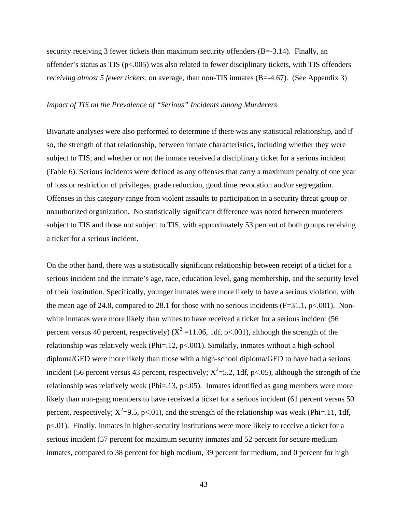security receiving 3 fewer tickets than maximum security offenders (B=-3.14). Finally, an offender's status as TIS (p<.005) was also related to fewer disciplinary tickets, with TIS offenders *receiving almost 5 fewer tickets*, on average, than non-TIS inmates (B=-4.67). (See Appendix 3)

### *Impact of TIS on the Prevalence of "Serious" Incidents among Murderers*

Bivariate analyses were also performed to determine if there was any statistical relationship, and if so, the strength of that relationship, between inmate characteristics, including whether they were subject to TIS, and whether or not the inmate received a disciplinary ticket for a serious incident (Table 6). Serious incidents were defined as any offenses that carry a maximum penalty of one year of loss or restriction of privileges, grade reduction, good time revocation and/or segregation. Offenses in this category range from violent assaults to participation in a security threat group or unauthorized organization. No statistically significant difference was noted between murderers subject to TIS and those not subject to TIS, with approximately 53 percent of both groups receiving a ticket for a serious incident.

On the other hand, there was a statistically significant relationship between receipt of a ticket for a serious incident and the inmate's age, race, education level, gang membership, and the security level of their institution. Specifically, younger inmates were more likely to have a serious violation, with the mean age of 24.8, compared to 28.1 for those with no serious incidents ( $F=31.1$ ,  $p<.001$ ). Nonwhite inmates were more likely than whites to have received a ticket for a serious incident (56 percent versus 40 percent, respectively) ( $X^2$  =11.06, 1df, p<.001), although the strength of the relationship was relatively weak (Phi=.12, p<.001). Similarly, inmates without a high-school diploma/GED were more likely than those with a high-school diploma/GED to have had a serious incident (56 percent versus 43 percent, respectively;  $X^2 = 5.2$ , 1df, p<.05), although the strength of the relationship was relatively weak (Phi=.13,  $p<0.05$ ). Inmates identified as gang members were more likely than non-gang members to have received a ticket for a serious incident (61 percent versus 50 percent, respectively;  $X^2=9.5$ , p<.01), and the strength of the relationship was weak (Phi=.11, 1df, p<.01). Finally, inmates in higher-security institutions were more likely to receive a ticket for a serious incident (57 percent for maximum security inmates and 52 percent for secure medium inmates, compared to 38 percent for high medium, 39 percent for medium, and 0 percent for high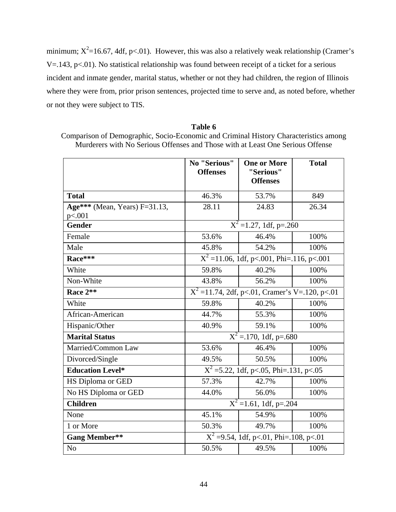minimum;  $X^2$ =16.67, 4df, p<.01). However, this was also a relatively weak relationship (Cramer's V=.143, p<.01). No statistical relationship was found between receipt of a ticket for a serious incident and inmate gender, marital status, whether or not they had children, the region of Illinois where they were from, prior prison sentences, projected time to serve and, as noted before, whether or not they were subject to TIS.

### **Table 6**

Comparison of Demographic, Socio-Economic and Criminal History Characteristics among Murderers with No Serious Offenses and Those with at Least One Serious Offense

|                                  | No "Serious"<br><b>Offenses</b>            | <b>One or More</b><br>"Serious"<br><b>Offenses</b>        | <b>Total</b> |  |
|----------------------------------|--------------------------------------------|-----------------------------------------------------------|--------------|--|
| <b>Total</b>                     | 46.3%                                      | 53.7%                                                     | 849          |  |
| Age*** (Mean, Years) $F=31.13$ , | 28.11                                      | 24.83                                                     | 26.34        |  |
| p<.001                           |                                            |                                                           |              |  |
| <b>Gender</b>                    |                                            | $X^2 = 1.27$ , 1df, p=.260                                |              |  |
| Female                           | 53.6%                                      | 46.4%                                                     | 100%         |  |
| Male                             | 45.8%                                      | 54.2%                                                     | 100%         |  |
| Race***                          |                                            | $\overline{X^2}$ = 11.06, 1df, p<.001, Phi = .116, p<.001 |              |  |
| White                            | 59.8%                                      | 40.2%                                                     | 100%         |  |
| Non-White                        | 43.8%                                      | 56.2%                                                     | 100%         |  |
| Race 2**                         |                                            | $X^2$ =11.74, 2df, p<.01, Cramer's V=.120, p<.01          |              |  |
| White                            | 59.8%                                      | 40.2%                                                     | 100%         |  |
| African-American                 | 44.7%                                      | 55.3%                                                     | 100%         |  |
| Hispanic/Other                   | 40.9%                                      | 59.1%                                                     | 100%         |  |
| <b>Marital Status</b>            |                                            | $X^2 = 170$ , 1df, p=.680                                 |              |  |
| Married/Common Law               | 53.6%                                      | 46.4%                                                     | 100%         |  |
| Divorced/Single                  | 49.5%                                      | 50.5%                                                     | 100%         |  |
| <b>Education Level*</b>          |                                            | $\overline{X^2}$ =5.22, 1df, p<.05, Phi=.131, p<.05       |              |  |
| HS Diploma or GED                | 57.3%                                      | 42.7%                                                     | 100%         |  |
| No HS Diploma or GED             | 44.0%                                      | 56.0%                                                     | 100%         |  |
| <b>Children</b>                  |                                            | $X^2$ =1.61, 1df, p=.204                                  |              |  |
| None                             | 45.1%                                      | 54.9%                                                     | 100%         |  |
| 1 or More                        | 50.3%                                      | 49.7%                                                     | 100%         |  |
| <b>Gang Member**</b>             | $X^2 = 9.54$ , 1df, p<.01, Phi=.108, p<.01 |                                                           |              |  |
| N <sub>o</sub>                   | 50.5%                                      | 49.5%                                                     | 100%         |  |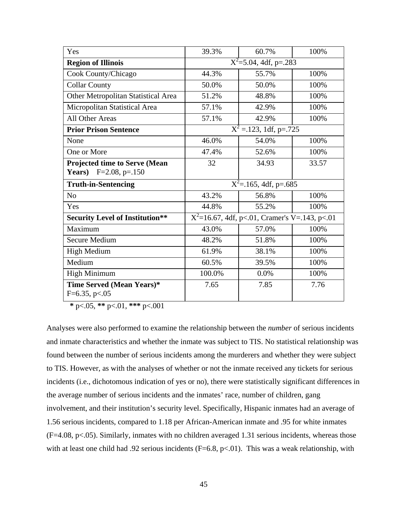| Yes                                                            | 39.3%                     | 60.7%                                            | 100%  |
|----------------------------------------------------------------|---------------------------|--------------------------------------------------|-------|
| <b>Region of Illinois</b>                                      | $X^2$ =5.04, 4df, p=.283  |                                                  |       |
| Cook County/Chicago                                            | 44.3%                     | 55.7%                                            | 100%  |
| <b>Collar County</b>                                           | 50.0%                     | 50.0%                                            | 100%  |
| Other Metropolitan Statistical Area                            | 51.2%                     | 48.8%                                            | 100%  |
| Micropolitan Statistical Area                                  | 57.1%                     | 42.9%                                            | 100%  |
| All Other Areas                                                | 57.1%                     | 42.9%                                            | 100%  |
| <b>Prior Prison Sentence</b>                                   | $X^2 = 123$ , 1df, p=.725 |                                                  |       |
| None                                                           | 46.0%                     | 54.0%                                            | 100%  |
| One or More                                                    | 47.4%                     | 52.6%                                            | 100%  |
| Projected time to Serve (Mean<br>Years)<br>$F=2.08$ , $p=.150$ | 32                        | 34.93                                            | 33.57 |
| <b>Truth-in-Sentencing</b>                                     |                           | $\overline{X^2}$ =.165, 4df, p=.685              |       |
| N <sub>o</sub>                                                 | 43.2%                     | 56.8%                                            | 100%  |
| Yes                                                            | 44.8%                     | 55.2%                                            | 100%  |
| <b>Security Level of Institution**</b>                         |                           | $X^2$ =16.67, 4df, p<.01, Cramer's V=.143, p<.01 |       |
| Maximum                                                        | 43.0%                     | 57.0%                                            | 100%  |
| <b>Secure Medium</b>                                           | 48.2%                     | 51.8%                                            | 100%  |
| <b>High Medium</b>                                             | 61.9%                     | 38.1%                                            | 100%  |
| Medium                                                         | 60.5%                     | 39.5%                                            | 100%  |
| <b>High Minimum</b>                                            | 100.0%                    | 0.0%                                             | 100%  |
| Time Served (Mean Years)*<br>$F=6.35, p<.05$                   | 7.65                      | 7.85                                             | 7.76  |

**\*** p<.05, **\*\*** p<.01, **\*\*\*** p<.001

Analyses were also performed to examine the relationship between the *number* of serious incidents and inmate characteristics and whether the inmate was subject to TIS. No statistical relationship was found between the number of serious incidents among the murderers and whether they were subject to TIS. However, as with the analyses of whether or not the inmate received any tickets for serious incidents (i.e., dichotomous indication of yes or no), there were statistically significant differences in the average number of serious incidents and the inmates' race, number of children, gang involvement, and their institution's security level. Specifically, Hispanic inmates had an average of 1.56 serious incidents, compared to 1.18 per African-American inmate and .95 for white inmates (F=4.08, p<.05). Similarly, inmates with no children averaged 1.31 serious incidents, whereas those with at least one child had .92 serious incidents ( $F=6.8$ ,  $p<.01$ ). This was a weak relationship, with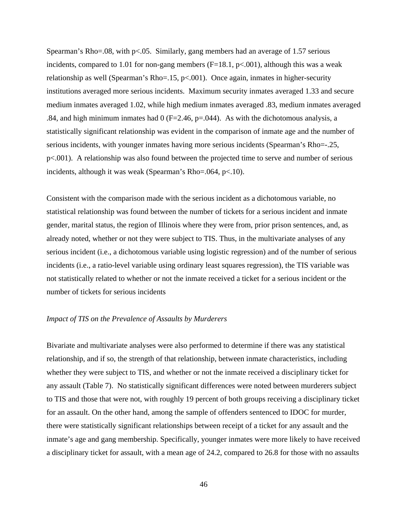Spearman's Rho=.08, with  $p<.05$ . Similarly, gang members had an average of 1.57 serious incidents, compared to 1.01 for non-gang members  $(F=18.1, p<.001)$ , although this was a weak relationship as well (Spearman's Rho=.15, p<.001). Once again, inmates in higher-security institutions averaged more serious incidents. Maximum security inmates averaged 1.33 and secure medium inmates averaged 1.02, while high medium inmates averaged .83, medium inmates averaged .84, and high minimum inmates had  $0$  (F=2.46, p=.044). As with the dichotomous analysis, a statistically significant relationship was evident in the comparison of inmate age and the number of serious incidents, with younger inmates having more serious incidents (Spearman's Rho=-.25, p<.001). A relationship was also found between the projected time to serve and number of serious incidents, although it was weak (Spearman's Rho=.064, p<.10).

Consistent with the comparison made with the serious incident as a dichotomous variable, no statistical relationship was found between the number of tickets for a serious incident and inmate gender, marital status, the region of Illinois where they were from, prior prison sentences, and, as already noted, whether or not they were subject to TIS. Thus, in the multivariate analyses of any serious incident (i.e., a dichotomous variable using logistic regression) and of the number of serious incidents (i.e., a ratio-level variable using ordinary least squares regression), the TIS variable was not statistically related to whether or not the inmate received a ticket for a serious incident or the number of tickets for serious incidents

#### *Impact of TIS on the Prevalence of Assaults by Murderers*

Bivariate and multivariate analyses were also performed to determine if there was any statistical relationship, and if so, the strength of that relationship, between inmate characteristics, including whether they were subject to TIS, and whether or not the inmate received a disciplinary ticket for any assault (Table 7). No statistically significant differences were noted between murderers subject to TIS and those that were not, with roughly 19 percent of both groups receiving a disciplinary ticket for an assault. On the other hand, among the sample of offenders sentenced to IDOC for murder, there were statistically significant relationships between receipt of a ticket for any assault and the inmate's age and gang membership. Specifically, younger inmates were more likely to have received a disciplinary ticket for assault, with a mean age of 24.2, compared to 26.8 for those with no assaults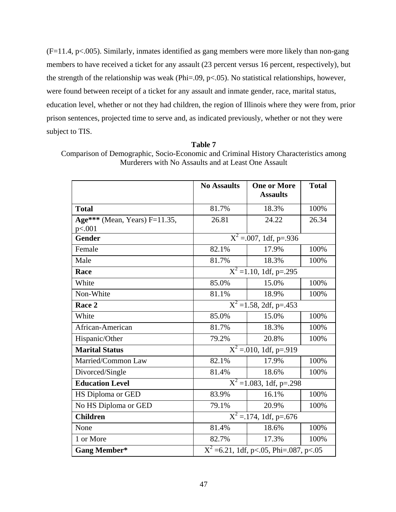(F=11.4, p<.005). Similarly, inmates identified as gang members were more likely than non-gang members to have received a ticket for any assault (23 percent versus 16 percent, respectively), but the strength of the relationship was weak (Phi=.09, p<.05). No statistical relationships, however, were found between receipt of a ticket for any assault and inmate gender, race, marital status, education level, whether or not they had children, the region of Illinois where they were from, prior prison sentences, projected time to serve and, as indicated previously, whether or not they were subject to TIS.

|                               | <b>No Assaults</b>                       | <b>One or More</b><br><b>Assaults</b>  | <b>Total</b> |
|-------------------------------|------------------------------------------|----------------------------------------|--------------|
| <b>Total</b>                  | 81.7%                                    | 18.3%                                  | 100%         |
| Age*** (Mean, Years) F=11.35, | 26.81                                    | 24.22                                  | 26.34        |
| p<.001                        |                                          |                                        |              |
| <b>Gender</b>                 |                                          | $\overline{X^2} = 0.007$ , 1df, p=.936 |              |
| Female                        | 82.1%                                    | 17.9%                                  | 100%         |
| Male                          | 81.7%                                    | 18.3%                                  | 100%         |
| Race                          |                                          | $X^2 = 1.10$ , 1df, p=.295             |              |
| White                         | 85.0%                                    | 15.0%                                  | 100%         |
| Non-White                     | 81.1%                                    | 18.9%                                  | 100%         |
| Race 2                        |                                          | $X^2 = 1.58$ , 2df, p=.453             |              |
| White                         | 85.0%                                    | 15.0%                                  | 100%         |
| African-American              | 81.7%                                    | 18.3%                                  | 100%         |
| Hispanic/Other                | 79.2%                                    | 20.8%                                  | 100%         |
| <b>Marital Status</b>         |                                          | $X^2 = 010$ , 1df, p=.919              |              |
| Married/Common Law            | 82.1%                                    | 17.9%                                  | 100%         |
| Divorced/Single               | 81.4%                                    | 18.6%                                  | 100%         |
| <b>Education Level</b>        |                                          | $\overline{X^2}$ = 1.083, 1df, p=.298  |              |
| HS Diploma or GED             | 83.9%                                    | 16.1%                                  | 100%         |
| No HS Diploma or GED          | 79.1%                                    | 20.9%                                  | 100%         |
| <b>Children</b>               |                                          | $X^2 = 174$ , 1df, p=.676              |              |
| None                          | 81.4%                                    | 18.6%                                  | 100%         |
| 1 or More                     | 82.7%                                    | 17.3%                                  | 100%         |
| <b>Gang Member*</b>           | $X^2$ =6.21, 1df, p<.05, Phi=.087, p<.05 |                                        |              |

**Table 7** 

Comparison of Demographic, Socio-Economic and Criminal History Characteristics among Murderers with No Assaults and at Least One Assault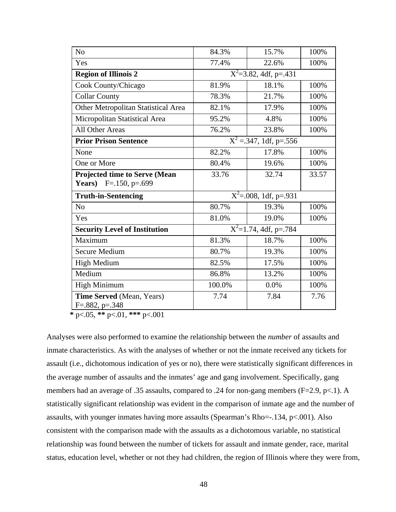| N <sub>o</sub>                                                 | 84.3%                               | 15.7%                               | 100%  |
|----------------------------------------------------------------|-------------------------------------|-------------------------------------|-------|
| Yes                                                            | 77.4%                               | 22.6%                               | 100%  |
| <b>Region of Illinois 2</b>                                    | $\overline{X^2}$ =3.82, 4df, p=.431 |                                     |       |
| Cook County/Chicago                                            | 81.9%                               | 18.1%                               | 100%  |
| <b>Collar County</b>                                           | 78.3%                               | 21.7%                               | 100%  |
| Other Metropolitan Statistical Area                            | 82.1%                               | 17.9%                               | 100%  |
| Micropolitan Statistical Area                                  | 95.2%                               | 4.8%                                | 100%  |
| <b>All Other Areas</b>                                         | 76.2%                               | 23.8%                               | 100%  |
| <b>Prior Prison Sentence</b>                                   |                                     | $\overline{X^2}$ = 347, 1df, p= 556 |       |
| None                                                           | 82.2%                               | 17.8%                               | 100%  |
| One or More                                                    | 80.4%                               | 19.6%                               | 100%  |
| Projected time to Serve (Mean<br><b>Years</b> ) F=.150, p=.699 | 33.76                               | 32.74                               | 33.57 |
| <b>Truth-in-Sentencing</b>                                     |                                     | $\overline{X^2}$ =.008, 1df, p=.931 |       |
| N <sub>o</sub>                                                 | 80.7%                               | 19.3%                               | 100%  |
| Yes                                                            | 81.0%                               | 19.0%                               | 100%  |
| <b>Security Level of Institution</b>                           |                                     | $\overline{X^2=1.74}$ , 4df, p=.784 |       |
| Maximum                                                        | 81.3%                               | 18.7%                               | 100%  |
| <b>Secure Medium</b>                                           | 80.7%                               | 19.3%                               | 100%  |
| <b>High Medium</b>                                             | 82.5%                               | 17.5%                               | 100%  |
| Medium                                                         | 86.8%                               | 13.2%                               | 100%  |
| <b>High Minimum</b>                                            | 100.0%                              | 0.0%                                | 100%  |
| Time Served (Mean, Years)<br>$F=.882, p=.348$                  | 7.74                                | 7.84                                | 7.76  |

**\*** p<.05, **\*\*** p<.01, **\*\*\*** p<.001

Analyses were also performed to examine the relationship between the *number* of assaults and inmate characteristics. As with the analyses of whether or not the inmate received any tickets for assault (i.e., dichotomous indication of yes or no), there were statistically significant differences in the average number of assaults and the inmates' age and gang involvement. Specifically, gang members had an average of .35 assaults, compared to .24 for non-gang members (F=2.9, p<.1). A statistically significant relationship was evident in the comparison of inmate age and the number of assaults, with younger inmates having more assaults (Spearman's Rho=-.134, p<.001). Also consistent with the comparison made with the assaults as a dichotomous variable, no statistical relationship was found between the number of tickets for assault and inmate gender, race, marital status, education level, whether or not they had children, the region of Illinois where they were from,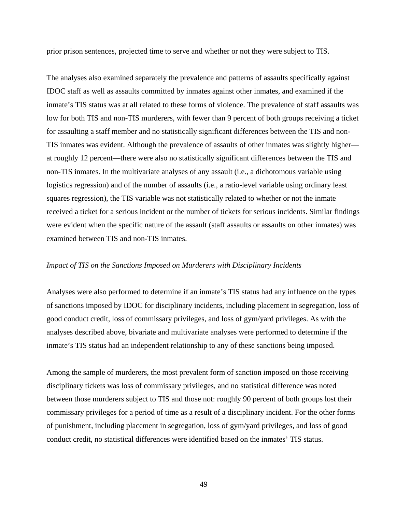prior prison sentences, projected time to serve and whether or not they were subject to TIS.

The analyses also examined separately the prevalence and patterns of assaults specifically against IDOC staff as well as assaults committed by inmates against other inmates, and examined if the inmate's TIS status was at all related to these forms of violence. The prevalence of staff assaults was low for both TIS and non-TIS murderers, with fewer than 9 percent of both groups receiving a ticket for assaulting a staff member and no statistically significant differences between the TIS and non-TIS inmates was evident. Although the prevalence of assaults of other inmates was slightly higher at roughly 12 percent—there were also no statistically significant differences between the TIS and non-TIS inmates. In the multivariate analyses of any assault (i.e., a dichotomous variable using logistics regression) and of the number of assaults (i.e., a ratio-level variable using ordinary least squares regression), the TIS variable was not statistically related to whether or not the inmate received a ticket for a serious incident or the number of tickets for serious incidents. Similar findings were evident when the specific nature of the assault (staff assaults or assaults on other inmates) was examined between TIS and non-TIS inmates.

#### *Impact of TIS on the Sanctions Imposed on Murderers with Disciplinary Incidents*

Analyses were also performed to determine if an inmate's TIS status had any influence on the types of sanctions imposed by IDOC for disciplinary incidents, including placement in segregation, loss of good conduct credit, loss of commissary privileges, and loss of gym/yard privileges. As with the analyses described above, bivariate and multivariate analyses were performed to determine if the inmate's TIS status had an independent relationship to any of these sanctions being imposed.

Among the sample of murderers, the most prevalent form of sanction imposed on those receiving disciplinary tickets was loss of commissary privileges, and no statistical difference was noted between those murderers subject to TIS and those not: roughly 90 percent of both groups lost their commissary privileges for a period of time as a result of a disciplinary incident. For the other forms of punishment, including placement in segregation, loss of gym/yard privileges, and loss of good conduct credit, no statistical differences were identified based on the inmates' TIS status.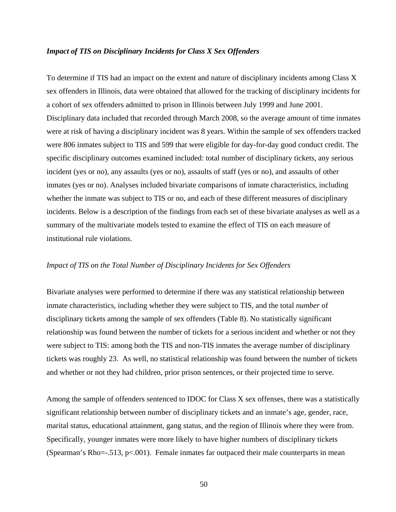#### *Impact of TIS on Disciplinary Incidents for Class X Sex Offenders*

To determine if TIS had an impact on the extent and nature of disciplinary incidents among Class X sex offenders in Illinois, data were obtained that allowed for the tracking of disciplinary incidents for a cohort of sex offenders admitted to prison in Illinois between July 1999 and June 2001. Disciplinary data included that recorded through March 2008, so the average amount of time inmates were at risk of having a disciplinary incident was 8 years. Within the sample of sex offenders tracked were 806 inmates subject to TIS and 599 that were eligible for day-for-day good conduct credit. The specific disciplinary outcomes examined included: total number of disciplinary tickets, any serious incident (yes or no), any assaults (yes or no), assaults of staff (yes or no), and assaults of other inmates (yes or no). Analyses included bivariate comparisons of inmate characteristics, including whether the inmate was subject to TIS or no, and each of these different measures of disciplinary incidents. Below is a description of the findings from each set of these bivariate analyses as well as a summary of the multivariate models tested to examine the effect of TIS on each measure of institutional rule violations.

### *Impact of TIS on the Total Number of Disciplinary Incidents for Sex Offenders*

Bivariate analyses were performed to determine if there was any statistical relationship between inmate characteristics, including whether they were subject to TIS, and the total *number* of disciplinary tickets among the sample of sex offenders (Table 8). No statistically significant relationship was found between the number of tickets for a serious incident and whether or not they were subject to TIS: among both the TIS and non-TIS inmates the average number of disciplinary tickets was roughly 23. As well, no statistical relationship was found between the number of tickets and whether or not they had children, prior prison sentences, or their projected time to serve.

Among the sample of offenders sentenced to IDOC for Class X sex offenses, there was a statistically significant relationship between number of disciplinary tickets and an inmate's age, gender, race, marital status, educational attainment, gang status, and the region of Illinois where they were from. Specifically, younger inmates were more likely to have higher numbers of disciplinary tickets (Spearman's Rho=-.513, p<.001). Female inmates far outpaced their male counterparts in mean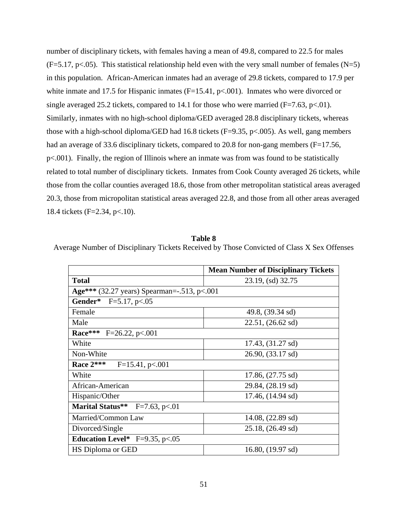number of disciplinary tickets, with females having a mean of 49.8, compared to 22.5 for males  $(F=5.17, p<.05)$ . This statistical relationship held even with the very small number of females (N=5) in this population. African-American inmates had an average of 29.8 tickets, compared to 17.9 per white inmate and 17.5 for Hispanic inmates (F=15.41, p<.001). Inmates who were divorced or single averaged 25.2 tickets, compared to 14.1 for those who were married  $(F=7.63, p<.01)$ . Similarly, inmates with no high-school diploma/GED averaged 28.8 disciplinary tickets, whereas those with a high-school diploma/GED had 16.8 tickets ( $F=9.35$ ,  $p<0.005$ ). As well, gang members had an average of 33.6 disciplinary tickets, compared to 20.8 for non-gang members (F=17.56, p<.001). Finally, the region of Illinois where an inmate was from was found to be statistically related to total number of disciplinary tickets. Inmates from Cook County averaged 26 tickets, while those from the collar counties averaged 18.6, those from other metropolitan statistical areas averaged 20.3, those from micropolitan statistical areas averaged 22.8, and those from all other areas averaged 18.4 tickets (F=2.34, p<.10).

**Table 8** Average Number of Disciplinary Tickets Received by Those Convicted of Class X Sex Offenses

|                                             | <b>Mean Number of Disciplinary Tickets</b> |
|---------------------------------------------|--------------------------------------------|
| <b>Total</b>                                | 23.19, (sd) 32.75                          |
| Age*** (32.27 years) Spearman=-.513, p<.001 |                                            |
| Gender*<br>$F=5.17, p<.05$                  |                                            |
| Female                                      | 49.8, (39.34 sd)                           |
| Male                                        | $22.51, (26.62 \text{ sd})$                |
| <b>Race***</b> F=26.22, p<.001              |                                            |
| White                                       | 17.43, (31.27 sd)                          |
| Non-White                                   | 26.90, (33.17 sd)                          |
| Race $2***$<br>$F=15.41, p<.001$            |                                            |
| White                                       | $17.86, (27.75 \text{ sd})$                |
| African-American                            | 29.84, (28.19 sd)                          |
| Hispanic/Other                              | $17.46$ , $(14.94 \text{ sd})$             |
| <b>Marital Status**</b><br>$F=7.63$ , p<.01 |                                            |
| Married/Common Law                          | $14.08, (22.89 \text{ sd})$                |
| Divorced/Single                             | 25.18, (26.49 sd)                          |
| Education Level* $F=9.35$ , p<.05           |                                            |
| HS Diploma or GED                           | $16.80$ , $(19.97 \text{ sd})$             |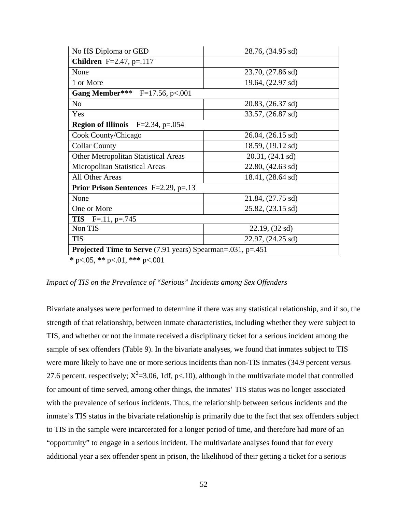| No HS Diploma or GED                                              | 28.76, (34.95 sd)           |  |  |  |
|-------------------------------------------------------------------|-----------------------------|--|--|--|
| <b>Children</b> F=2.47, p=.117                                    |                             |  |  |  |
| None                                                              | 23.70, (27.86 sd)           |  |  |  |
| 1 or More                                                         | 19.64, (22.97 sd)           |  |  |  |
| <b>Gang Member***</b> F=17.56, p<.001                             |                             |  |  |  |
| N <sub>o</sub>                                                    | 20.83, (26.37 sd)           |  |  |  |
| Yes                                                               | 33.57, (26.87 sd)           |  |  |  |
| <b>Region of Illinois</b> $F=2.34$ , $p=.054$                     |                             |  |  |  |
| Cook County/Chicago                                               | 26.04, (26.15 sd)           |  |  |  |
| <b>Collar County</b>                                              | 18.59, (19.12 sd)           |  |  |  |
| <b>Other Metropolitan Statistical Areas</b>                       | 20.31, (24.1 sd)            |  |  |  |
| Micropolitan Statistical Areas                                    | $22.80, (42.63 \text{ sd})$ |  |  |  |
| All Other Areas                                                   | 18.41, (28.64 sd)           |  |  |  |
| <b>Prior Prison Sentences</b> F=2.29, p=.13                       |                             |  |  |  |
| None                                                              | 21.84, (27.75 sd)           |  |  |  |
| One or More                                                       | $25.82, (23.15 \text{ sd})$ |  |  |  |
| <b>TIS</b> $F=.11, p=.745$                                        |                             |  |  |  |
| Non TIS                                                           | 22.19, (32 sd)              |  |  |  |
| <b>TIS</b>                                                        | 22.97, (24.25 sd)           |  |  |  |
| <b>Projected Time to Serve</b> (7.91 years) Spearman=.031, p=.451 |                             |  |  |  |
| $4.705$ $44.701$ $444.701$                                        |                             |  |  |  |

**\*** p<.05, **\*\*** p<.01, **\*\*\*** p<.001

*Impact of TIS on the Prevalence of "Serious" Incidents among Sex Offenders* 

Bivariate analyses were performed to determine if there was any statistical relationship, and if so, the strength of that relationship, between inmate characteristics, including whether they were subject to TIS, and whether or not the inmate received a disciplinary ticket for a serious incident among the sample of sex offenders (Table 9). In the bivariate analyses, we found that inmates subject to TIS were more likely to have one or more serious incidents than non-TIS inmates (34.9 percent versus 27.6 percent, respectively;  $X^2 = 3.06$ , 1df, p<.10), although in the multivariate model that controlled for amount of time served, among other things, the inmates' TIS status was no longer associated with the prevalence of serious incidents. Thus, the relationship between serious incidents and the inmate's TIS status in the bivariate relationship is primarily due to the fact that sex offenders subject to TIS in the sample were incarcerated for a longer period of time, and therefore had more of an "opportunity" to engage in a serious incident. The multivariate analyses found that for every additional year a sex offender spent in prison, the likelihood of their getting a ticket for a serious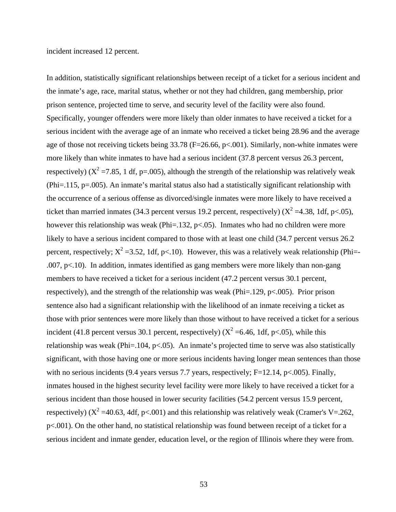incident increased 12 percent.

In addition, statistically significant relationships between receipt of a ticket for a serious incident and the inmate's age, race, marital status, whether or not they had children, gang membership, prior prison sentence, projected time to serve, and security level of the facility were also found. Specifically, younger offenders were more likely than older inmates to have received a ticket for a serious incident with the average age of an inmate who received a ticket being 28.96 and the average age of those not receiving tickets being 33.78 (F=26.66, p<.001). Similarly, non-white inmates were more likely than white inmates to have had a serious incident (37.8 percent versus 26.3 percent, respectively) ( $X^2$  =7.85, 1 df, p=.005), although the strength of the relationship was relatively weak (Phi=.115, p=.005). An inmate's marital status also had a statistically significant relationship with the occurrence of a serious offense as divorced/single inmates were more likely to have received a ticket than married inmates (34.3 percent versus 19.2 percent, respectively) ( $X^2 = 4.38$ , 1df, p<.05), however this relationship was weak (Phi=.132,  $p<0.05$ ). Inmates who had no children were more likely to have a serious incident compared to those with at least one child  $(34.7)$  percent versus 26.2 percent, respectively;  $X^2 = 3.52$ , 1df, p<.10). However, this was a relatively weak relationship (Phi=-.007, p<.10). In addition, inmates identified as gang members were more likely than non-gang members to have received a ticket for a serious incident (47.2 percent versus 30.1 percent, respectively), and the strength of the relationship was weak (Phi=.129,  $p<.005$ ). Prior prison sentence also had a significant relationship with the likelihood of an inmate receiving a ticket as those with prior sentences were more likely than those without to have received a ticket for a serious incident (41.8 percent versus 30.1 percent, respectively) ( $X^2 = 6.46$ , 1df, p<.05), while this relationship was weak (Phi=.104, p<.05). An inmate's projected time to serve was also statistically significant, with those having one or more serious incidents having longer mean sentences than those with no serious incidents (9.4 years versus 7.7 years, respectively; F=12.14, p<.005). Finally, inmates housed in the highest security level facility were more likely to have received a ticket for a serious incident than those housed in lower security facilities (54.2 percent versus 15.9 percent, respectively) ( $X^2$  =40.63, 4df, p<.001) and this relationship was relatively weak (Cramer's V=.262, p<.001). On the other hand, no statistical relationship was found between receipt of a ticket for a serious incident and inmate gender, education level, or the region of Illinois where they were from.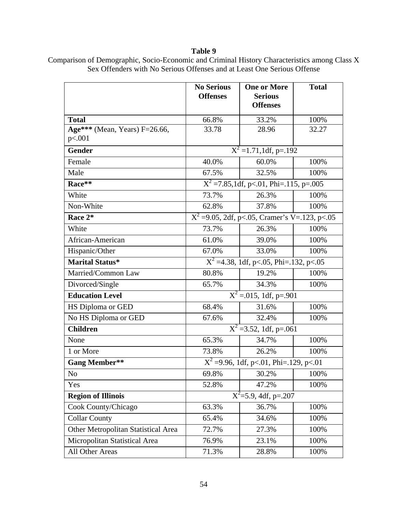### **Table 9**

|                                            | <b>No Serious</b><br><b>Offenses</b> | <b>One or More</b><br><b>Serious</b><br><b>Offenses</b> | <b>Total</b> |
|--------------------------------------------|--------------------------------------|---------------------------------------------------------|--------------|
| <b>Total</b>                               | 66.8%                                | 33.2%                                                   | 100%         |
| Age*** (Mean, Years) $F=26.66$ ,<br>p<.001 | 33.78                                | 28.96                                                   | 32.27        |
| <b>Gender</b>                              |                                      | $X^2 = 1.71$ , 1df, p=.192                              |              |
| Female                                     | 40.0%                                | 60.0%                                                   | 100%         |
| Male                                       | 67.5%                                | 32.5%                                                   | 100%         |
| Race**                                     |                                      | $\overline{X^2}$ = 7.85,1df, p < 01, Phi = 115, p = 005 |              |
| White                                      | 73.7%                                | 26.3%                                                   | 100%         |
| Non-White                                  | 62.8%                                | 37.8%                                                   | 100%         |
| Race 2*                                    |                                      | $X^2 = 9.05$ , 2df, p<.05, Cramer's V=.123, p<.05       |              |
| White                                      | 73.7%                                | 26.3%                                                   | 100%         |
| African-American                           | 61.0%                                | 39.0%                                                   | 100%         |
| Hispanic/Other                             | 67.0%                                | 33.0%                                                   | 100%         |
| <b>Marital Status*</b>                     |                                      | $X^2$ =4.38, 1df, p<.05, Phi=.132, p<.05                |              |
| Married/Common Law                         | 80.8%                                | 19.2%                                                   | 100%         |
| Divorced/Single                            | 65.7%                                | 34.3%                                                   | 100%         |
| <b>Education Level</b>                     |                                      | $\overline{X^2}$ = 015, 1df, p= 901                     |              |
| HS Diploma or GED                          | 68.4%                                | 31.6%                                                   | 100%         |
| No HS Diploma or GED                       | 67.6%                                | 32.4%                                                   | 100%         |
| <b>Children</b>                            |                                      | $X^2 = 3.52$ , 1df, p=.061                              |              |
| None                                       | 65.3%                                | 34.7%                                                   | 100%         |
| 1 or More                                  | 73.8%                                | 26.2%                                                   | 100%         |
| <b>Gang Member**</b>                       |                                      | $X^2$ =9.96, 1df, p<.01, Phi=.129, p<.01                |              |
| No                                         | 69.8%                                | 30.2%                                                   | 100%         |
| Yes                                        | 52.8%                                | 47.2%                                                   | 100%         |
| <b>Region of Illinois</b>                  |                                      | $X^2 = 5.9$ , 4df, p=.207                               |              |
| Cook County/Chicago                        | 63.3%                                | 36.7%                                                   | 100%         |
| <b>Collar County</b>                       | 65.4%                                | 34.6%                                                   | 100%         |
| Other Metropolitan Statistical Area        | 72.7%                                | 27.3%                                                   | 100%         |
| Micropolitan Statistical Area              | 76.9%                                | 23.1%                                                   | 100%         |
| All Other Areas                            | 71.3%                                | 28.8%                                                   | 100%         |

Comparison of Demographic, Socio-Economic and Criminal History Characteristics among Class X Sex Offenders with No Serious Offenses and at Least One Serious Offense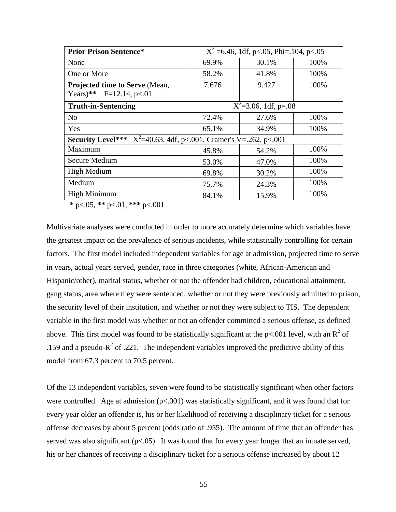| <b>Prior Prison Sentence*</b>                                               | $X^2$ =6.46, 1df, p<.05, Phi=.104, p<.05 |       |      |  |  |  |
|-----------------------------------------------------------------------------|------------------------------------------|-------|------|--|--|--|
| None                                                                        | 69.9%                                    | 30.1% | 100% |  |  |  |
| One or More                                                                 | 58.2%                                    | 41.8% | 100% |  |  |  |
| <b>Projected time to Serve (Mean,</b>                                       | 7.676                                    | 9.427 | 100% |  |  |  |
| $F=12.14, p<.01$<br>$Years)$ **                                             |                                          |       |      |  |  |  |
| <b>Truth-in-Sentencing</b>                                                  | $X^2 = 3.06$ , 1df, p=.08                |       |      |  |  |  |
| N <sub>o</sub>                                                              | 72.4%                                    | 27.6% | 100% |  |  |  |
| Yes                                                                         | 65.1%                                    | 34.9% | 100% |  |  |  |
| <b>Security Level***</b> $X^2=40.63$ , 4df, p<.001, Cramer's V=.262, p<.001 |                                          |       |      |  |  |  |
| Maximum                                                                     | 45.8%                                    | 54.2% | 100% |  |  |  |
| Secure Medium                                                               | 53.0%                                    | 47.0% | 100% |  |  |  |
| High Medium                                                                 | 69.8%                                    | 30.2% | 100% |  |  |  |
| Medium                                                                      | 75.7%                                    | 24.3% | 100% |  |  |  |
| <b>High Minimum</b>                                                         | 84.1%                                    | 15.9% | 100% |  |  |  |

**\*** p<.05, **\*\*** p<.01, **\*\*\*** p<.001

Multivariate analyses were conducted in order to more accurately determine which variables have the greatest impact on the prevalence of serious incidents, while statistically controlling for certain factors. The first model included independent variables for age at admission, projected time to serve in years, actual years served, gender, race in three categories (white, African-American and Hispanic/other), marital status, whether or not the offender had children, educational attainment, gang status, area where they were sentenced, whether or not they were previously admitted to prison, the security level of their institution, and whether or not they were subject to TIS. The dependent variable in the first model was whether or not an offender committed a serious offense, as defined above. This first model was found to be statistically significant at the p<.001 level, with an  $R^2$  of .159 and a pseudo- $R^2$  of .221. The independent variables improved the predictive ability of this model from 67.3 percent to 70.5 percent.

Of the 13 independent variables, seven were found to be statistically significant when other factors were controlled. Age at admission  $(p<.001)$  was statistically significant, and it was found that for every year older an offender is, his or her likelihood of receiving a disciplinary ticket for a serious offense decreases by about 5 percent (odds ratio of .955). The amount of time that an offender has served was also significant  $(p<0.05)$ . It was found that for every year longer that an inmate served, his or her chances of receiving a disciplinary ticket for a serious offense increased by about 12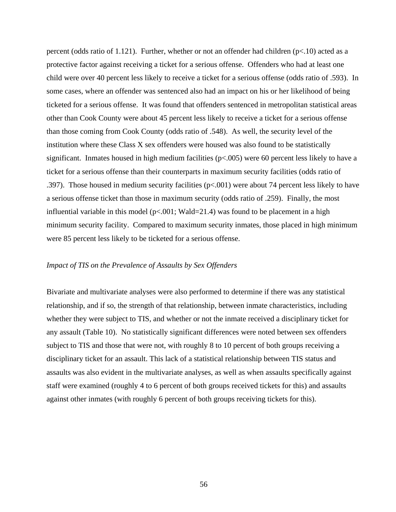percent (odds ratio of 1.121). Further, whether or not an offender had children  $(p<.10)$  acted as a protective factor against receiving a ticket for a serious offense. Offenders who had at least one child were over 40 percent less likely to receive a ticket for a serious offense (odds ratio of .593). In some cases, where an offender was sentenced also had an impact on his or her likelihood of being ticketed for a serious offense. It was found that offenders sentenced in metropolitan statistical areas other than Cook County were about 45 percent less likely to receive a ticket for a serious offense than those coming from Cook County (odds ratio of .548). As well, the security level of the institution where these Class X sex offenders were housed was also found to be statistically significant. Inmates housed in high medium facilities ( $p<0.005$ ) were 60 percent less likely to have a ticket for a serious offense than their counterparts in maximum security facilities (odds ratio of .397). Those housed in medium security facilities (p<.001) were about 74 percent less likely to have a serious offense ticket than those in maximum security (odds ratio of .259). Finally, the most influential variable in this model ( $p<0.01$ ; Wald=21.4) was found to be placement in a high minimum security facility. Compared to maximum security inmates, those placed in high minimum were 85 percent less likely to be ticketed for a serious offense.

#### *Impact of TIS on the Prevalence of Assaults by Sex Offenders*

Bivariate and multivariate analyses were also performed to determine if there was any statistical relationship, and if so, the strength of that relationship, between inmate characteristics, including whether they were subject to TIS, and whether or not the inmate received a disciplinary ticket for any assault (Table 10). No statistically significant differences were noted between sex offenders subject to TIS and those that were not, with roughly 8 to 10 percent of both groups receiving a disciplinary ticket for an assault. This lack of a statistical relationship between TIS status and assaults was also evident in the multivariate analyses, as well as when assaults specifically against staff were examined (roughly 4 to 6 percent of both groups received tickets for this) and assaults against other inmates (with roughly 6 percent of both groups receiving tickets for this).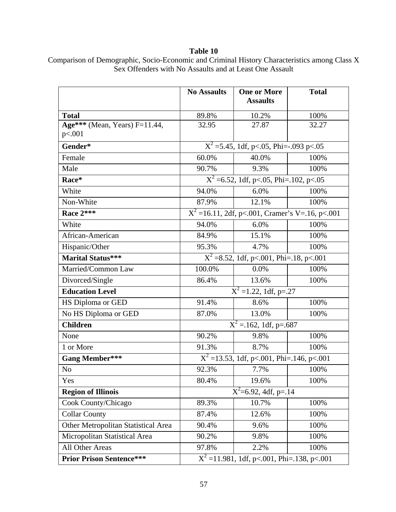### **Table 10**

|                                            | <b>No Assaults</b>                             | <b>One or More</b><br><b>Assaults</b>               | <b>Total</b> |  |  |  |
|--------------------------------------------|------------------------------------------------|-----------------------------------------------------|--------------|--|--|--|
| <b>Total</b>                               | 89.8%                                          | 10.2%                                               | 100%         |  |  |  |
| Age*** (Mean, Years) $F=11.44$ ,<br>p<.001 | 32.95                                          | 27.87                                               | 32.27        |  |  |  |
| Gender*                                    | $X^2 = 5.45$ , 1df, p<.05, Phi= $-0.093$ p<.05 |                                                     |              |  |  |  |
| Female                                     | 60.0%                                          | 40.0%                                               | 100%         |  |  |  |
| Male                                       | 90.7%                                          | 9.3%                                                | 100%         |  |  |  |
| Race*                                      |                                                | $\overline{X^2}$ =6.52, 1df, p<.05, Phi=.102, p<.05 |              |  |  |  |
| White                                      | 94.0%                                          | 6.0%                                                | 100%         |  |  |  |
| Non-White                                  | 87.9%                                          | 12.1%                                               | 100%         |  |  |  |
| Race 2***                                  |                                                | $X^2 = 16.11$ , 2df, p<.001, Cramer's V=.16, p<.001 |              |  |  |  |
| White                                      | 94.0%                                          | 6.0%                                                | 100%         |  |  |  |
| African-American                           | 84.9%                                          | 15.1%                                               | 100%         |  |  |  |
| Hispanic/Other                             | 95.3%                                          | 4.7%                                                |              |  |  |  |
| <b>Marital Status***</b>                   |                                                | $X^2$ =8.52, 1df, p<.001, Phi=.18, p<.001           |              |  |  |  |
| Married/Common Law                         | 100.0%                                         | 0.0%                                                | 100%         |  |  |  |
| Divorced/Single                            | 86.4%                                          | 13.6%                                               | 100%         |  |  |  |
| <b>Education Level</b>                     |                                                | $\overline{X^2}$ =1.22, 1df, p=.27                  |              |  |  |  |
| HS Diploma or GED                          | 91.4%                                          | 8.6%                                                | 100%         |  |  |  |
| No HS Diploma or GED                       | 87.0%                                          | 13.0%                                               | 100%         |  |  |  |
| <b>Children</b>                            |                                                | $\overline{X}^2$ = 162, 1df, p=.687                 |              |  |  |  |
| None                                       | 90.2%                                          | 9.8%                                                | 100%         |  |  |  |
| 1 or More                                  | 91.3%                                          | 8.7%                                                | 100%         |  |  |  |
| <b>Gang Member***</b>                      |                                                | $X^2$ =13.53, 1df, p<.001, Phi=.146, p<.001         |              |  |  |  |
| N <sub>o</sub>                             | 92.3%                                          | 7.7%                                                | 100%         |  |  |  |
| Yes                                        | 80.4%                                          | 19.6%                                               | 100%         |  |  |  |
| <b>Region of Illinois</b>                  |                                                | $X^2$ =6.92, 4df, p=.14                             |              |  |  |  |
| Cook County/Chicago                        | 89.3%                                          | 10.7%                                               | 100%         |  |  |  |
| <b>Collar County</b>                       | 87.4%                                          | 12.6%                                               | 100%         |  |  |  |
| Other Metropolitan Statistical Area        | 90.4%                                          | 9.6%                                                | 100%         |  |  |  |
| Micropolitan Statistical Area              | 90.2%                                          | 9.8%                                                | 100%         |  |  |  |
| All Other Areas                            | 97.8%                                          | 2.2%                                                | 100%         |  |  |  |
| <b>Prior Prison Sentence***</b>            | $X^2 = 11.981$ , 1df, p<.001, Phi=.138, p<.001 |                                                     |              |  |  |  |

Comparison of Demographic, Socio-Economic and Criminal History Characteristics among Class X Sex Offenders with No Assaults and at Least One Assault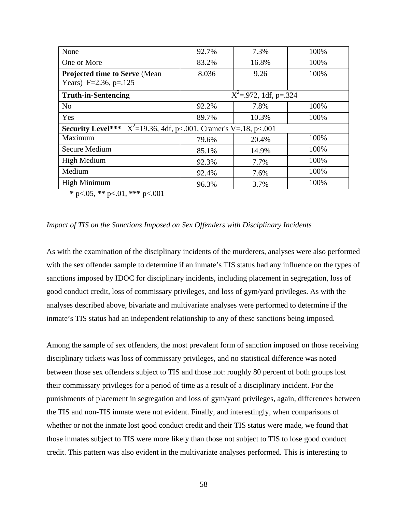| None                                                                       | 92.7% | 7.3%                       | 100% |
|----------------------------------------------------------------------------|-------|----------------------------|------|
| One or More                                                                | 83.2% | 16.8%                      | 100% |
| <b>Projected time to Serve (Mean)</b><br>Years) F=2.36, p=.125             | 8.036 | 9.26                       | 100% |
| <b>Truth-in-Sentencing</b>                                                 |       | $X^2 = .972$ , 1df, p=.324 |      |
| N <sub>o</sub>                                                             | 92.2% | 7.8%                       | 100% |
| Yes                                                                        | 89.7% | 10.3%                      | 100% |
| <b>Security Level***</b> $X^2=19.36$ , 4df, p<.001, Cramer's V=.18, p<.001 |       |                            |      |
| Maximum                                                                    | 79.6% | 20.4%                      | 100% |
| Secure Medium                                                              | 85.1% | 14.9%                      | 100% |
| High Medium                                                                | 92.3% | 7.7%                       | 100% |
| Medium                                                                     | 92.4% | 7.6%                       | 100% |
| <b>High Minimum</b>                                                        | 96.3% | 3.7%                       | 100% |

**\*** p<.05, **\*\*** p<.01, **\*\*\*** p<.001

#### *Impact of TIS on the Sanctions Imposed on Sex Offenders with Disciplinary Incidents*

As with the examination of the disciplinary incidents of the murderers, analyses were also performed with the sex offender sample to determine if an inmate's TIS status had any influence on the types of sanctions imposed by IDOC for disciplinary incidents, including placement in segregation, loss of good conduct credit, loss of commissary privileges, and loss of gym/yard privileges. As with the analyses described above, bivariate and multivariate analyses were performed to determine if the inmate's TIS status had an independent relationship to any of these sanctions being imposed.

Among the sample of sex offenders, the most prevalent form of sanction imposed on those receiving disciplinary tickets was loss of commissary privileges, and no statistical difference was noted between those sex offenders subject to TIS and those not: roughly 80 percent of both groups lost their commissary privileges for a period of time as a result of a disciplinary incident. For the punishments of placement in segregation and loss of gym/yard privileges, again, differences between the TIS and non-TIS inmate were not evident. Finally, and interestingly, when comparisons of whether or not the inmate lost good conduct credit and their TIS status were made, we found that those inmates subject to TIS were more likely than those not subject to TIS to lose good conduct credit. This pattern was also evident in the multivariate analyses performed. This is interesting to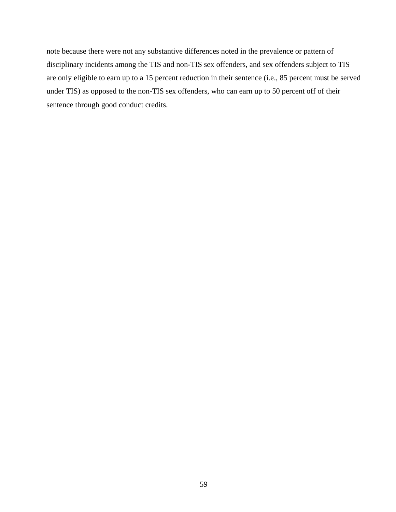note because there were not any substantive differences noted in the prevalence or pattern of disciplinary incidents among the TIS and non-TIS sex offenders, and sex offenders subject to TIS are only eligible to earn up to a 15 percent reduction in their sentence (i.e., 85 percent must be served under TIS) as opposed to the non-TIS sex offenders, who can earn up to 50 percent off of their sentence through good conduct credits.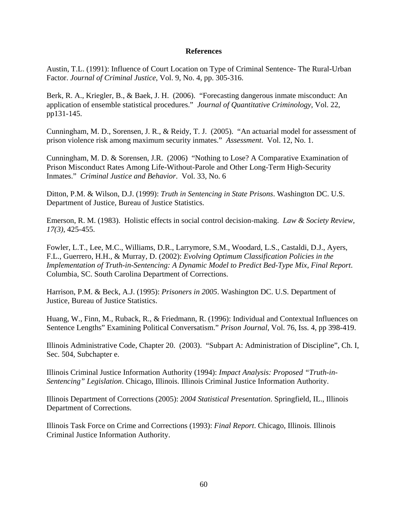### **References**

Austin, T.L. (1991): Influence of Court Location on Type of Criminal Sentence- The Rural-Urban Factor. *Journal of Criminal Justice*, Vol. 9, No. 4, pp. 305-316.

Berk, R. A., Kriegler, B., & Baek, J. H. (2006). "Forecasting dangerous inmate misconduct: An application of ensemble statistical procedures." *Journal of Quantitative Criminology*, Vol. 22, pp131-145.

Cunningham, M. D., Sorensen, J. R., & Reidy, T. J. (2005). "An actuarial model for assessment of prison violence risk among maximum security inmates." *Assessment*. Vol. 12, No. 1.

Cunningham, M. D. & Sorensen, J.R. (2006)"Nothing to Lose? A Comparative Examination of Prison Misconduct Rates Among Life-Without-Parole and Other Long-Term High-Security Inmates." *Criminal Justice and Behavior*. Vol. 33, No. 6

Ditton, P.M. & Wilson, D.J. (1999): *Truth in Sentencing in State Prisons*. Washington DC. U.S. Department of Justice, Bureau of Justice Statistics.

Emerson, R. M. (1983). Holistic effects in social control decision-making. *Law & Society Review, 17(3),* 425-455.

Fowler, L.T., Lee, M.C., Williams, D.R., Larrymore, S.M., Woodard, L.S., Castaldi, D.J., Ayers, F.L., Guerrero, H.H., & Murray, D. (2002): *Evolving Optimum Classification Policies in the Implementation of Truth-in-Sentencing: A Dynamic Model to Predict Bed-Type Mix, Final Report*. Columbia, SC. South Carolina Department of Corrections.

Harrison, P.M. & Beck, A.J. (1995): *Prisoners in 2005*. Washington DC. U.S. Department of Justice, Bureau of Justice Statistics.

Huang, W., Finn, M., Ruback, R., & Friedmann, R. (1996): Individual and Contextual Influences on Sentence Lengths" Examining Political Conversatism." *Prison Journal*, Vol. 76, Iss. 4, pp 398-419.

Illinois Administrative Code, Chapter 20. (2003). "Subpart A: Administration of Discipline", Ch. I, Sec. 504, Subchapter e.

Illinois Criminal Justice Information Authority (1994): *Impact Analysis: Proposed "Truth-in-Sentencing" Legislation*. Chicago, Illinois. Illinois Criminal Justice Information Authority.

Illinois Department of Corrections (2005): *2004 Statistical Presentation*. Springfield, IL., Illinois Department of Corrections.

Illinois Task Force on Crime and Corrections (1993): *Final Report*. Chicago, Illinois. Illinois Criminal Justice Information Authority.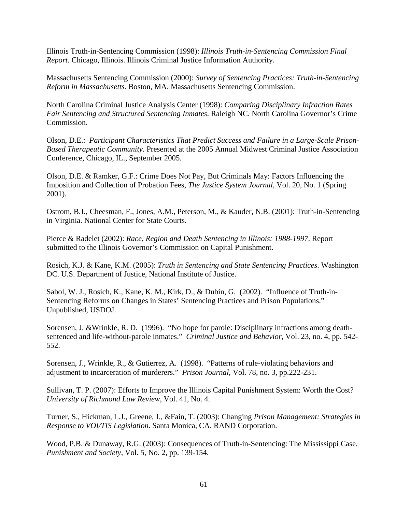Illinois Truth-in-Sentencing Commission (1998): *Illinois Truth-in-Sentencing Commission Final Report*. Chicago, Illinois. Illinois Criminal Justice Information Authority.

Massachusetts Sentencing Commission (2000): *Survey of Sentencing Practices: Truth-in-Sentencing Reform in Massachusetts*. Boston, MA. Massachusetts Sentencing Commission.

North Carolina Criminal Justice Analysis Center (1998): *Comparing Disciplinary Infraction Rates Fair Sentencing and Structured Sentencing Inmates*. Raleigh NC. North Carolina Governor's Crime Commission.

Olson, D.E.: *Participant Characteristics That Predict Success and Failure in a Large-Scale Prison-Based Therapeutic Community*. Presented at the 2005 Annual Midwest Criminal Justice Association Conference, Chicago, IL., September 2005.

Olson, D.E. & Ramker, G.F.: Crime Does Not Pay, But Criminals May: Factors Influencing the Imposition and Collection of Probation Fees, *The Justice System Journal*, Vol. 20, No. 1 (Spring 2001).

Ostrom, B.J., Cheesman, F., Jones, A.M., Peterson, M., & Kauder, N.B. (2001): Truth-in-Sentencing in Virginia. National Center for State Courts.

Pierce & Radelet (2002): *Race, Region and Death Sentencing in Illinois: 1988-1997*. Report submitted to the Illinois Governor's Commission on Capital Punishment.

Rosich, K.J. & Kane, K.M. (2005): *Truth in Sentencing and State Sentencing Practices*. Washington DC. U.S. Department of Justice, National Institute of Justice.

Sabol, W. J., Rosich, K., Kane, K. M., Kirk, D., & Dubin, G. (2002). "Influence of Truth-in-Sentencing Reforms on Changes in States' Sentencing Practices and Prison Populations." Unpublished, USDOJ.

Sorensen, J. &Wrinkle, R. D. (1996). "No hope for parole: Disciplinary infractions among deathsentenced and life-without-parole inmates." *Criminal Justice and Behavior*, Vol. 23, no. 4, pp. 542- 552.

Sorensen, J., Wrinkle, R., & Gutierrez, A. (1998). "Patterns of rule-violating behaviors and adjustment to incarceration of murderers." *Prison Journal*, Vol. 78, no. 3, pp.222-231.

Sullivan, T. P. (2007): Efforts to Improve the Illinois Capital Punishment System: Worth the Cost? *University of Richmond Law Review*, Vol. 41, No. 4.

Turner, S., Hickman, L.J., Greene, J., &Fain, T. (2003): Changing *Prison Management: Strategies in Response to VOI/TIS Legislation*. Santa Monica, CA. RAND Corporation.

Wood, P.B. & Dunaway, R.G. (2003): Consequences of Truth-in-Sentencing: The Mississippi Case. *Punishment and Society*, Vol. 5, No. 2, pp. 139-154.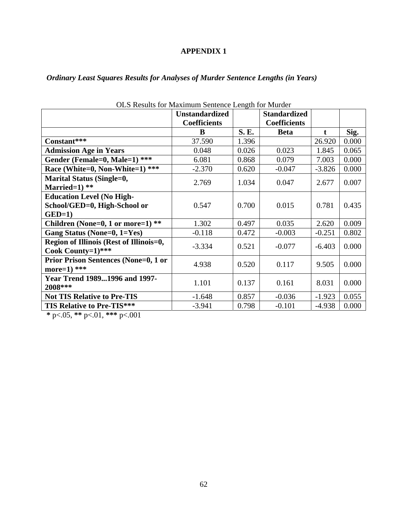### **APPENDIX 1**

*Ordinary Least Squares Results for Analyses of Murder Sentence Lengths (in Years)* 

|                                             | $\sim$ 100 and 101 maximum benence Evilym for marger |       |                     |          |       |
|---------------------------------------------|------------------------------------------------------|-------|---------------------|----------|-------|
|                                             | <b>Unstandardized</b>                                |       | <b>Standardized</b> |          |       |
|                                             | <b>Coefficients</b>                                  |       | <b>Coefficients</b> |          |       |
|                                             | B                                                    | S. E. | <b>Beta</b>         | t        | Sig.  |
| Constant***                                 | 37.590                                               | 1.396 |                     | 26.920   | 0.000 |
| <b>Admission Age in Years</b>               | 0.048                                                | 0.026 | 0.023               | 1.845    | 0.065 |
| Gender (Female=0, Male=1) ***               | 6.081                                                | 0.868 | 0.079               | 7.003    | 0.000 |
| ***<br>Race (White=0, Non-White=1)          | $-2.370$                                             | 0.620 | $-0.047$            | $-3.826$ | 0.000 |
| <b>Marital Status (Single=0,</b>            | 2.769                                                | 1.034 | 0.047               | 2.677    | 0.007 |
| Married= $1)$ **                            |                                                      |       |                     |          |       |
| <b>Education Level (No High-</b>            |                                                      |       |                     |          |       |
| School/GED=0, High-School or                | 0.547                                                | 0.700 | 0.015               | 0.781    | 0.435 |
| $GED=1$                                     |                                                      |       |                     |          |       |
| Children (None=0, 1 or more=1) **           | 1.302                                                | 0.497 | 0.035               | 2.620    | 0.009 |
| Gang Status (None=0, 1=Yes)                 | $-0.118$                                             | 0.472 | $-0.003$            | $-0.251$ | 0.802 |
| Region of Illinois (Rest of Illinois=0,     | $-3.334$                                             | 0.521 | $-0.077$            | $-6.403$ | 0.000 |
| Cook County=1)***                           |                                                      |       |                     |          |       |
| <b>Prior Prison Sentences (None=0, 1 or</b> | 4.938                                                | 0.520 | 0.117               | 9.505    | 0.000 |
| more= $1)$ ***                              |                                                      |       |                     |          |       |
| <b>Year Trend 19891996 and 1997-</b>        | 1.101                                                | 0.137 | 0.161               | 8.031    | 0.000 |
| 2008***                                     |                                                      |       |                     |          |       |
| <b>Not TIS Relative to Pre-TIS</b>          | $-1.648$                                             | 0.857 | $-0.036$            | $-1.923$ | 0.055 |
| <b>TIS Relative to Pre-TIS***</b>           | $-3.941$                                             | 0.798 | $-0.101$            | $-4.938$ | 0.000 |

OLS Results for Maximum Sentence Length for Murder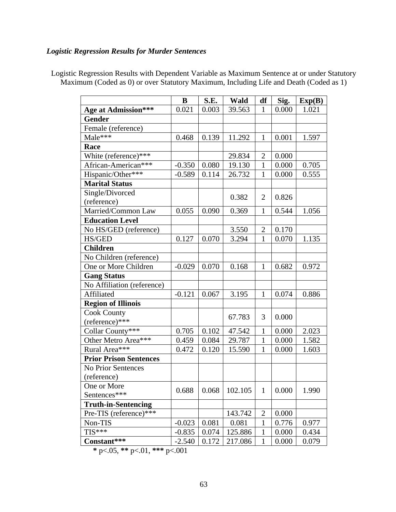### *Logistic Regression Results for Murder Sentences*

|                               | B        | S.E.  | Wald    | df             | Sig.  | Exp(B) |
|-------------------------------|----------|-------|---------|----------------|-------|--------|
| <b>Age at Admission***</b>    | 0.021    | 0.003 | 39.563  | $\mathbf{1}$   | 0.000 | 1.021  |
| <b>Gender</b>                 |          |       |         |                |       |        |
| Female (reference)            |          |       |         |                |       |        |
| Male***                       | 0.468    | 0.139 | 11.292  | 1              | 0.001 | 1.597  |
| Race                          |          |       |         |                |       |        |
| White (reference)***          |          |       | 29.834  | $\overline{2}$ | 0.000 |        |
| African-American***           | $-0.350$ | 0.080 | 19.130  | 1              | 0.000 | 0.705  |
| Hispanic/Other***             | $-0.589$ | 0.114 | 26.732  | 1              | 0.000 | 0.555  |
| <b>Marital Status</b>         |          |       |         |                |       |        |
| Single/Divorced               |          |       |         | $\overline{2}$ |       |        |
| (reference)                   |          |       | 0.382   |                | 0.826 |        |
| Married/Common Law            | 0.055    | 0.090 | 0.369   | $\mathbf{1}$   | 0.544 | 1.056  |
| <b>Education Level</b>        |          |       |         |                |       |        |
| No HS/GED (reference)         |          |       | 3.550   | $\overline{2}$ | 0.170 |        |
| <b>HS/GED</b>                 | 0.127    | 0.070 | 3.294   | 1              | 0.070 | 1.135  |
| <b>Children</b>               |          |       |         |                |       |        |
| No Children (reference)       |          |       |         |                |       |        |
| One or More Children          | $-0.029$ | 0.070 | 0.168   | 1              | 0.682 | 0.972  |
| <b>Gang Status</b>            |          |       |         |                |       |        |
| No Affiliation (reference)    |          |       |         |                |       |        |
| Affiliated                    | $-0.121$ | 0.067 | 3.195   | $\mathbf{1}$   | 0.074 | 0.886  |
| <b>Region of Illinois</b>     |          |       |         |                |       |        |
| <b>Cook County</b>            |          |       | 67.783  | 3              | 0.000 |        |
| (reference)***                |          |       |         |                |       |        |
| Collar County***              | 0.705    | 0.102 | 47.542  | $\mathbf{1}$   | 0.000 | 2.023  |
| Other Metro Area***           | 0.459    | 0.084 | 29.787  | 1              | 0.000 | 1.582  |
| Rural Area***                 | 0.472    | 0.120 | 15.590  | $\mathbf{1}$   | 0.000 | 1.603  |
| <b>Prior Prison Sentences</b> |          |       |         |                |       |        |
| No Prior Sentences            |          |       |         |                |       |        |
| (reference)                   |          |       |         |                |       |        |
| One or More                   | 0.688    | 0.068 | 102.105 | $\mathbf{1}$   | 0.000 | 1.990  |
| Sentences***                  |          |       |         |                |       |        |
| <b>Truth-in-Sentencing</b>    |          |       |         |                |       |        |
| Pre-TIS (reference)***        |          |       | 143.742 | $\overline{c}$ | 0.000 |        |
| Non-TIS                       | $-0.023$ | 0.081 | 0.081   | $\mathbf{1}$   | 0.776 | 0.977  |
| $TIS***$                      | $-0.835$ | 0.074 | 125.886 | $\mathbf{1}$   | 0.000 | 0.434  |
| Constant***                   | $-2.540$ | 0.172 | 217.086 | $\mathbf{1}$   | 0.000 | 0.079  |

Logistic Regression Results with Dependent Variable as Maximum Sentence at or under Statutory Maximum (Coded as 0) or over Statutory Maximum, Including Life and Death (Coded as 1)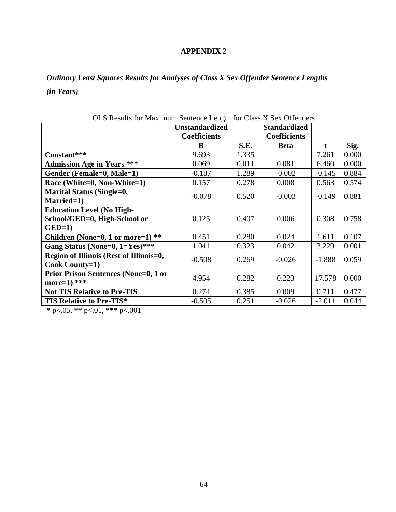### **APPENDIX 2**

*Ordinary Least Squares Results for Analyses of Class X Sex Offender Sentence Lengths (in Years)* 

| so recente for mainmann contenee Bength for Chase II Ben On                 | <b>Unstandardized</b> |       | <b>Standardized</b> |          |       |
|-----------------------------------------------------------------------------|-----------------------|-------|---------------------|----------|-------|
|                                                                             | <b>Coefficients</b>   |       | <b>Coefficients</b> |          |       |
|                                                                             | B                     | S.E.  | <b>Beta</b>         | t        | Sig.  |
| Constant***                                                                 | 9.693                 | 1.335 |                     | 7.261    | 0.000 |
| <b>Admission Age in Years ***</b>                                           | 0.069                 | 0.011 | 0.081               | 6.460    | 0.000 |
| Gender (Female=0, Male=1)                                                   | $-0.187$              | 1.289 | $-0.002$            | $-0.145$ | 0.884 |
| Race (White=0, Non-White=1)                                                 | 0.157                 | 0.278 | 0.008               | 0.563    | 0.574 |
| <b>Marital Status (Single=0,</b><br>Married=1)                              | $-0.078$              | 0.520 | $-0.003$            | $-0.149$ | 0.881 |
| <b>Education Level (No High-</b><br>School/GED=0, High-School or<br>$GED=1$ | 0.125                 | 0.407 | 0.006               | 0.308    | 0.758 |
| Children (None=0, 1 or more=1) $**$                                         | 0.451                 | 0.280 | 0.024               | 1.611    | 0.107 |
| Gang Status (None=0, 1=Yes)***                                              | 1.041                 | 0.323 | 0.042               | 3.229    | 0.001 |
| Region of Illinois (Rest of Illinois=0,<br>Cook County=1)                   | $-0.508$              | 0.269 | $-0.026$            | $-1.888$ | 0.059 |
| <b>Prior Prison Sentences (None=0, 1 or</b><br>more= $1)$ ***               | 4.954                 | 0.282 | 0.223               | 17.578   | 0.000 |
| <b>Not TIS Relative to Pre-TIS</b>                                          | 0.274                 | 0.385 | 0.009               | 0.711    | 0.477 |
| TIS Relative to Pre-TIS*                                                    | $-0.505$              | 0.251 | $-0.026$            | $-2.011$ | 0.044 |

OLS Results for Maximum Sentence Length for Class X Sex Offenders